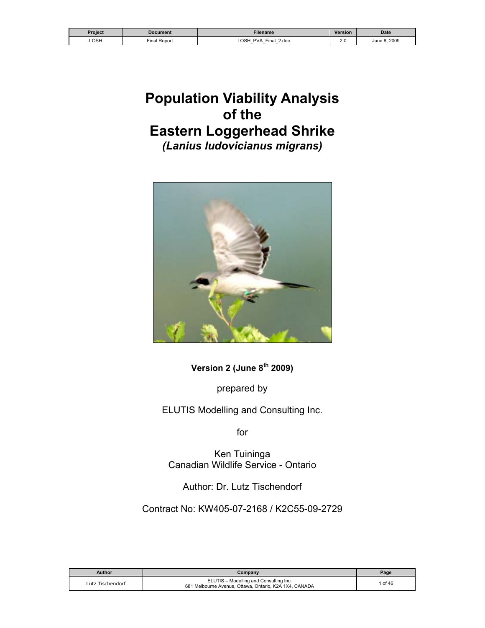| Project | Document     | <b>Filename</b>                                                                                                          | <b>Version</b>            | <b>Date</b>    |
|---------|--------------|--------------------------------------------------------------------------------------------------------------------------|---------------------------|----------------|
| LOSH    | Final Report | ∟OSH<br><b>PVA</b><br>Final<br>2.doc<br>$\overline{\phantom{0}}$<br>$\overline{\phantom{0}}$<br>$\overline{\phantom{0}}$ | $\sim$ $\sim$<br><u>.</u> | 2009<br>June P |

# **Population Viability Analysis of the Eastern Loggerhead Shrike**  *(Lanius ludovicianus migrans)*



**Version 2 (June 8<sup>th</sup> 2009)** 

prepared by

ELUTIS Modelling and Consulting Inc.

for

Ken Tuininga Canadian Wildlife Service - Ontario

Author: Dr. Lutz Tischendorf

Contract No: KW405-07-2168 / K2C55-09-2729

| Author           | Company                                                                                          | Page    |
|------------------|--------------------------------------------------------------------------------------------------|---------|
| Lutz Tischendorf | ELUTIS - Modelling and Consulting Inc.<br>681 Melbourne Avenue, Ottawa, Ontario, K2A 1X4, CANADA | 1 of 46 |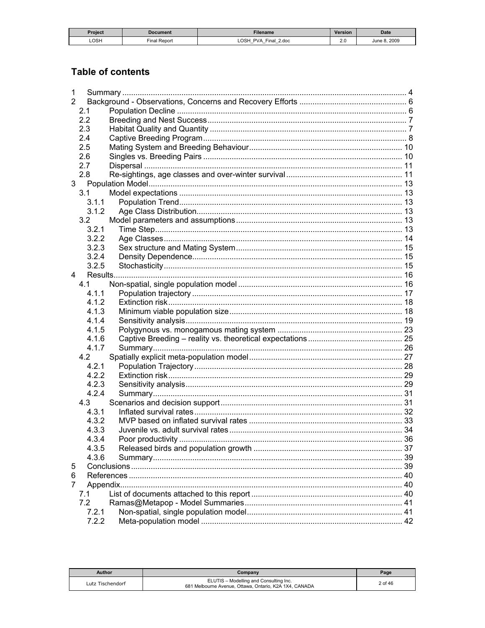| Project | Document            | Filename                               | <b>Version</b> | <b>Date</b>  |
|---------|---------------------|----------------------------------------|----------------|--------------|
| LOSH    | <b>Final Report</b> | OSH PVA<br>2.doc<br>Final.<br>_<br>$-$ | -<br>2.U       | 2009<br>June |

# **Table of contents**

| 1 |       |  |
|---|-------|--|
| 2 |       |  |
|   | 2.1   |  |
|   | 2.2   |  |
|   | 2.3   |  |
|   | 2.4   |  |
|   | 2.5   |  |
|   | 2.6   |  |
|   | 2.7   |  |
|   | 2.8   |  |
| 3 |       |  |
|   | 3.1   |  |
|   | 3.1.1 |  |
|   | 3.1.2 |  |
|   | 3.2   |  |
|   | 3.2.1 |  |
|   | 3.2.2 |  |
|   | 3.2.3 |  |
|   | 3.2.4 |  |
|   | 3.2.5 |  |
| 4 |       |  |
|   | 4.1   |  |
|   | 4.1.1 |  |
|   | 4.1.2 |  |
|   | 4.1.3 |  |
|   | 4.1.4 |  |
|   | 4.1.5 |  |
|   | 4.1.6 |  |
|   | 4.1.7 |  |
|   | 4.2   |  |
|   | 4.2.1 |  |
|   | 4.2.2 |  |
|   | 4.2.3 |  |
|   | 4.2.4 |  |
|   | 4.3   |  |
|   | 4.3.1 |  |
|   | 4.3.2 |  |
|   | 4.3.3 |  |
|   | 4.3.4 |  |
|   | 4.3.5 |  |
|   | 4.3.6 |  |
| 5 |       |  |
| 6 |       |  |
| 7 |       |  |
|   | 7.1   |  |
|   | 7.2   |  |
|   | 7.2.1 |  |
|   | 7.2.2 |  |

| Author           | Company                                                                                          | Page    |
|------------------|--------------------------------------------------------------------------------------------------|---------|
| Lutz Tischendorf | ELUTIS - Modelling and Consulting Inc.<br>681 Melbourne Avenue, Ottawa, Ontario, K2A 1X4, CANADA | 2 of 46 |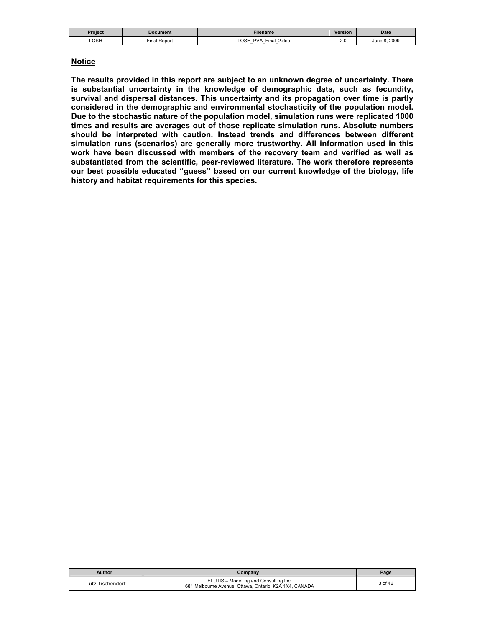| Project | Document       | Filename                                                                                            | Version              | <b>Date</b>      |
|---------|----------------|-----------------------------------------------------------------------------------------------------|----------------------|------------------|
| ∟OSH    | Repor<br>Final | <b>LOSH</b><br>Final<br><b>PVA</b><br>2.doc<br>$\overline{\phantom{0}}$<br>$\overline{\phantom{0}}$ | $\sim$ $\sim$<br>Z.V | 8.2009<br>June P |

#### **Notice**

**The results provided in this report are subject to an unknown degree of uncertainty. There is substantial uncertainty in the knowledge of demographic data, such as fecundity, survival and dispersal distances. This uncertainty and its propagation over time is partly considered in the demographic and environmental stochasticity of the population model. Due to the stochastic nature of the population model, simulation runs were replicated 1000 times and results are averages out of those replicate simulation runs. Absolute numbers should be interpreted with caution. Instead trends and differences between different simulation runs (scenarios) are generally more trustworthy. All information used in this work have been discussed with members of the recovery team and verified as well as substantiated from the scientific, peer-reviewed literature. The work therefore represents our best possible educated "guess" based on our current knowledge of the biology, life history and habitat requirements for this species.** 

| <b>Author</b>    | Company                                                                                          | Page    |
|------------------|--------------------------------------------------------------------------------------------------|---------|
| Lutz Tischendorf | ELUTIS - Modelling and Consulting Inc.<br>681 Melbourne Avenue, Ottawa, Ontario, K2A 1X4, CANADA | 3 of 46 |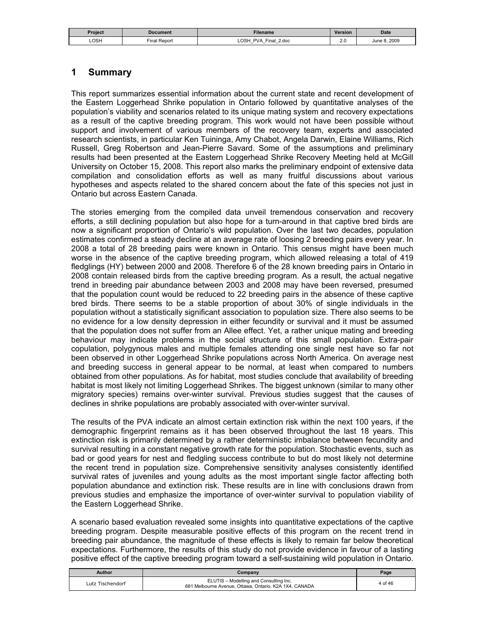| Project | Document                    | <b>Filename</b>                                              | <b>Version</b> | <b>Date</b>  |
|---------|-----------------------------|--------------------------------------------------------------|----------------|--------------|
| LOSH    | $\sim$<br>' Report<br>Final | <b>LOSH</b><br><b>PVA</b><br>Final<br>2.doc<br>$-$<br>_<br>– | $\sim$         | 2009<br>June |

### **1 Summary**

This report summarizes essential information about the current state and recent development of the Eastern Loggerhead Shrike population in Ontario followed by quantitative analyses of the population's viability and scenarios related to its unique mating system and recovery expectations as a result of the captive breeding program. This work would not have been possible without support and involvement of various members of the recovery team, experts and associated research scientists, in particular Ken Tuininga, Amy Chabot, Angela Darwin, Elaine Williams, Rich Russell, Greg Robertson and Jean-Pierre Savard. Some of the assumptions and preliminary results had been presented at the Eastern Loggerhead Shrike Recovery Meeting held at McGill University on October 15, 2008. This report also marks the preliminary endpoint of extensive data compilation and consolidation efforts as well as many fruitful discussions about various hypotheses and aspects related to the shared concern about the fate of this species not just in Ontario but across Eastern Canada.

The stories emerging from the compiled data unveil tremendous conservation and recovery efforts, a still declining population but also hope for a turn-around in that captive bred birds are now a significant proportion of Ontario's wild population. Over the last two decades, population estimates confirmed a steady decline at an average rate of loosing 2 breeding pairs every year. In 2008 a total of 28 breeding pairs were known in Ontario. This census might have been much worse in the absence of the captive breeding program, which allowed releasing a total of 419 fledglings (HY) between 2000 and 2008. Therefore 6 of the 28 known breeding pairs in Ontario in 2008 contain released birds from the captive breeding program. As a result, the actual negative trend in breeding pair abundance between 2003 and 2008 may have been reversed, presumed that the population count would be reduced to 22 breeding pairs in the absence of these captive bred birds. There seems to be a stable proportion of about 30% of single individuals in the population without a statistically significant association to population size. There also seems to be no evidence for a low density depression in either fecundity or survival and it must be assumed that the population does not suffer from an Allee effect. Yet, a rather unique mating and breeding behaviour may indicate problems in the social structure of this small population. Extra-pair copulation, polygynous males and multiple females attending one single nest have so far not been observed in other Loggerhead Shrike populations across North America. On average nest and breeding success in general appear to be normal, at least when compared to numbers obtained from other populations. As for habitat, most studies conclude that availability of breeding habitat is most likely not limiting Loggerhead Shrikes. The biggest unknown (similar to many other migratory species) remains over-winter survival. Previous studies suggest that the causes of declines in shrike populations are probably associated with over-winter survival.

The results of the PVA indicate an almost certain extinction risk within the next 100 years, if the demographic fingerprint remains as it has been observed throughout the last 18 years. This extinction risk is primarily determined by a rather deterministic imbalance between fecundity and survival resulting in a constant negative growth rate for the population. Stochastic events, such as bad or good years for nest and fledgling success contribute to but do most likely not determine the recent trend in population size. Comprehensive sensitivity analyses consistently identified survival rates of juveniles and young adults as the most important single factor affecting both population abundance and extinction risk. These results are in line with conclusions drawn from previous studies and emphasize the importance of over-winter survival to population viability of the Eastern Loggerhead Shrike.

A scenario based evaluation revealed some insights into quantitative expectations of the captive breeding program. Despite measurable positive effects of this program on the recent trend in breeding pair abundance, the magnitude of these effects is likely to remain far below theoretical expectations. Furthermore, the results of this study do not provide evidence in favour of a lasting positive effect of the captive breeding program toward a self-sustaining wild population in Ontario.

| Author           | Companv                                                                                          | Page    |
|------------------|--------------------------------------------------------------------------------------------------|---------|
| Lutz Tischendorf | ELUTIS - Modelling and Consulting Inc.<br>681 Melbourne Avenue, Ottawa, Ontario, K2A 1X4, CANADA | 4 of 46 |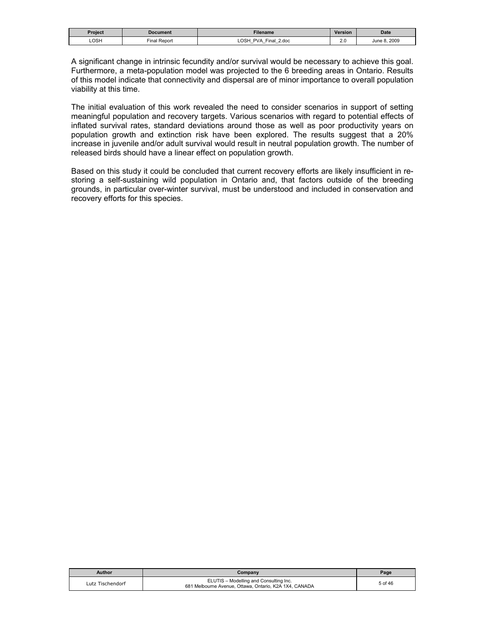| <b>Project</b> | Document                  | Filename                                                                             | Version                                  | <b>Date</b>      |
|----------------|---------------------------|--------------------------------------------------------------------------------------|------------------------------------------|------------------|
| LOSH           | $- \cdot$<br>Final Report | <b>OSH</b><br><b>PVA</b><br>2.doc<br>Final<br>$\overline{\phantom{0}}$<br>$-$<br>$-$ | $\sim$<br>2.U<br>the control of the con- | 8.2009<br>June 8 |

A significant change in intrinsic fecundity and/or survival would be necessary to achieve this goal. Furthermore, a meta-population model was projected to the 6 breeding areas in Ontario. Results of this model indicate that connectivity and dispersal are of minor importance to overall population viability at this time.

The initial evaluation of this work revealed the need to consider scenarios in support of setting meaningful population and recovery targets. Various scenarios with regard to potential effects of inflated survival rates, standard deviations around those as well as poor productivity years on population growth and extinction risk have been explored. The results suggest that a 20% increase in juvenile and/or adult survival would result in neutral population growth. The number of released birds should have a linear effect on population growth.

Based on this study it could be concluded that current recovery efforts are likely insufficient in restoring a self-sustaining wild population in Ontario and, that factors outside of the breeding grounds, in particular over-winter survival, must be understood and included in conservation and recovery efforts for this species.

| <b>Author</b>    | Company                                                                                          | Page    |
|------------------|--------------------------------------------------------------------------------------------------|---------|
| Lutz Tischendorf | ELUTIS - Modelling and Consulting Inc.<br>681 Melbourne Avenue, Ottawa, Ontario, K2A 1X4, CANADA | 5 of 46 |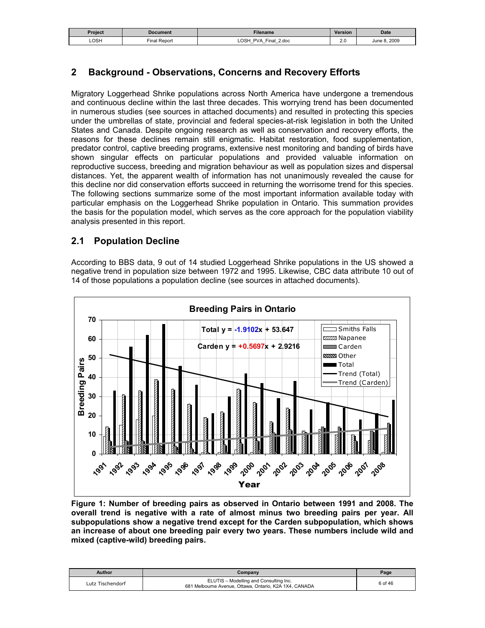| <b>Project</b> | Document          | Filename                                         | Version     | <b>Date</b>  |
|----------------|-------------------|--------------------------------------------------|-------------|--------------|
| LOSH           | I Report<br>Final | LOSH<br><b>PVA</b><br>Final<br>2.doc<br>$-$<br>– | ົ<br>$\sim$ | June 8, 2009 |

# **2 Background - Observations, Concerns and Recovery Efforts**

Migratory Loggerhead Shrike populations across North America have undergone a tremendous and continuous decline within the last three decades. This worrying trend has been documented in numerous studies (see sources in attached documents) and resulted in protecting this species under the umbrellas of state, provincial and federal species-at-risk legislation in both the United States and Canada. Despite ongoing research as well as conservation and recovery efforts, the reasons for these declines remain still enigmatic. Habitat restoration, food supplementation, predator control, captive breeding programs, extensive nest monitoring and banding of birds have shown singular effects on particular populations and provided valuable information on reproductive success, breeding and migration behaviour as well as population sizes and dispersal distances. Yet, the apparent wealth of information has not unanimously revealed the cause for this decline nor did conservation efforts succeed in returning the worrisome trend for this species. The following sections summarize some of the most important information available today with particular emphasis on the Loggerhead Shrike population in Ontario. This summation provides the basis for the population model, which serves as the core approach for the population viability analysis presented in this report.

# **2.1 Population Decline**

According to BBS data, 9 out of 14 studied Loggerhead Shrike populations in the US showed a negative trend in population size between 1972 and 1995. Likewise, CBC data attribute 10 out of 14 of those populations a population decline (see sources in attached documents).



**Figure 1: Number of breeding pairs as observed in Ontario between 1991 and 2008. The overall trend is negative with a rate of almost minus two breeding pairs per year. All subpopulations show a negative trend except for the Carden subpopulation, which shows an increase of about one breeding pair every two years. These numbers include wild and mixed (captive-wild) breeding pairs.** 

| Author           | Company                                                                                          | Page    |
|------------------|--------------------------------------------------------------------------------------------------|---------|
| Lutz Tischendorf | ELUTIS - Modelling and Consulting Inc.<br>681 Melbourne Avenue, Ottawa, Ontario, K2A 1X4, CANADA | 6 of 46 |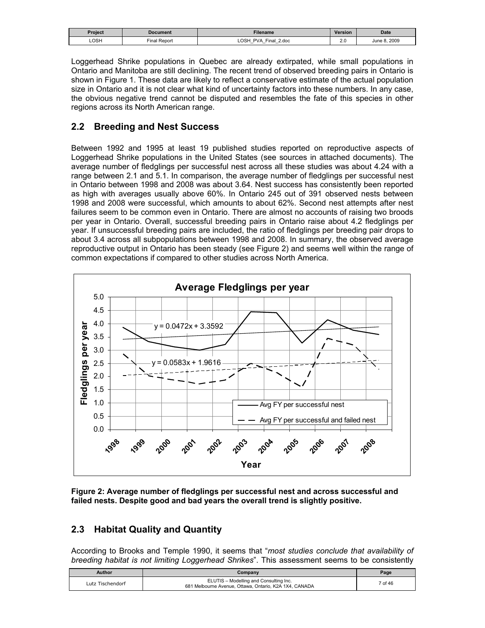| Project | Document        | <b>Filename</b>                                                                                   | <b>Version</b>       | <b>Date</b>         |
|---------|-----------------|---------------------------------------------------------------------------------------------------|----------------------|---------------------|
| LOSH    | Report<br>Final | <b>LOSH</b><br>PVA<br>Final<br>2.doc<br>-<br>$\overline{\phantom{0}}$<br>$\overline{\phantom{0}}$ | $\sim$ $\sim$<br>Z.U | 8,2009<br>June $81$ |

Loggerhead Shrike populations in Quebec are already extirpated, while small populations in Ontario and Manitoba are still declining. The recent trend of observed breeding pairs in Ontario is shown in Figure 1. These data are likely to reflect a conservative estimate of the actual population size in Ontario and it is not clear what kind of uncertainty factors into these numbers. In any case, the obvious negative trend cannot be disputed and resembles the fate of this species in other regions across its North American range.

# **2.2 Breeding and Nest Success**

Between 1992 and 1995 at least 19 published studies reported on reproductive aspects of Loggerhead Shrike populations in the United States (see sources in attached documents). The average number of fledglings per successful nest across all these studies was about 4.24 with a range between 2.1 and 5.1. In comparison, the average number of fledglings per successful nest in Ontario between 1998 and 2008 was about 3.64. Nest success has consistently been reported as high with averages usually above 60%. In Ontario 245 out of 391 observed nests between 1998 and 2008 were successful, which amounts to about 62%. Second nest attempts after nest failures seem to be common even in Ontario. There are almost no accounts of raising two broods per year in Ontario. Overall, successful breeding pairs in Ontario raise about 4.2 fledglings per year. If unsuccessful breeding pairs are included, the ratio of fledglings per breeding pair drops to about 3.4 across all subpopulations between 1998 and 2008. In summary, the observed average reproductive output in Ontario has been steady (see Figure 2) and seems well within the range of common expectations if compared to other studies across North America.



**Figure 2: Average number of fledglings per successful nest and across successful and failed nests. Despite good and bad years the overall trend is slightly positive.** 

# **2.3 Habitat Quality and Quantity**

According to Brooks and Temple 1990, it seems that "*most studies conclude that availability of breeding habitat is not limiting Loggerhead Shrikes*". This assessment seems to be consistently

| Author           | Company                                                                                          | Page    |
|------------------|--------------------------------------------------------------------------------------------------|---------|
| Lutz Tischendorf | ELUTIS - Modelling and Consulting Inc.<br>681 Melbourne Avenue, Ottawa, Ontario, K2A 1X4, CANADA | 7 of 46 |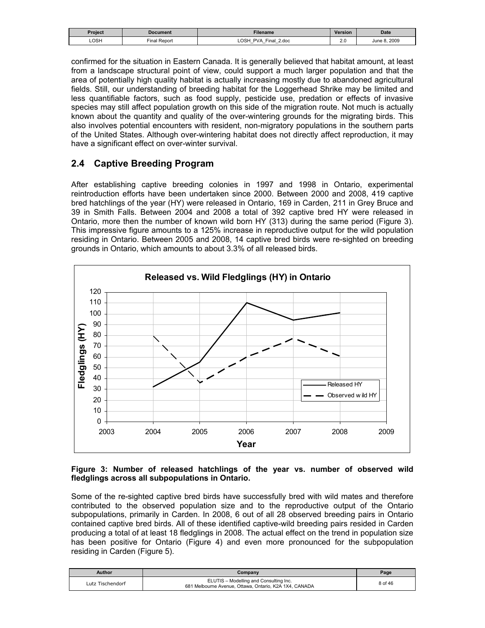| Project | Document        | <b>Filename</b>                                                                                   | <b>Version</b>       | <b>Date</b>         |
|---------|-----------------|---------------------------------------------------------------------------------------------------|----------------------|---------------------|
| LOSH    | Report<br>Final | <b>LOSH</b><br>PVA<br>Final<br>2.doc<br>-<br>$\overline{\phantom{0}}$<br>$\overline{\phantom{0}}$ | $\sim$ $\sim$<br>Z.U | 8,2009<br>June $81$ |

confirmed for the situation in Eastern Canada. It is generally believed that habitat amount, at least from a landscape structural point of view, could support a much larger population and that the area of potentially high quality habitat is actually increasing mostly due to abandoned agricultural fields. Still, our understanding of breeding habitat for the Loggerhead Shrike may be limited and less quantifiable factors, such as food supply, pesticide use, predation or effects of invasive species may still affect population growth on this side of the migration route. Not much is actually known about the quantity and quality of the over-wintering grounds for the migrating birds. This also involves potential encounters with resident, non-migratory populations in the southern parts of the United States. Although over-wintering habitat does not directly affect reproduction, it may have a significant effect on over-winter survival.

### **2.4 Captive Breeding Program**

After establishing captive breeding colonies in 1997 and 1998 in Ontario, experimental reintroduction efforts have been undertaken since 2000. Between 2000 and 2008, 419 captive bred hatchlings of the year (HY) were released in Ontario, 169 in Carden, 211 in Grey Bruce and 39 in Smith Falls. Between 2004 and 2008 a total of 392 captive bred HY were released in Ontario, more then the number of known wild born HY (313) during the same period (Figure 3). This impressive figure amounts to a 125% increase in reproductive output for the wild population residing in Ontario. Between 2005 and 2008, 14 captive bred birds were re-sighted on breeding grounds in Ontario, which amounts to about 3.3% of all released birds.



#### **Figure 3: Number of released hatchlings of the year vs. number of observed wild fledglings across all subpopulations in Ontario.**

Some of the re-sighted captive bred birds have successfully bred with wild mates and therefore contributed to the observed population size and to the reproductive output of the Ontario subpopulations, primarily in Carden. In 2008, 6 out of all 28 observed breeding pairs in Ontario contained captive bred birds. All of these identified captive-wild breeding pairs resided in Carden producing a total of at least 18 fledglings in 2008. The actual effect on the trend in population size has been positive for Ontario (Figure 4) and even more pronounced for the subpopulation residing in Carden (Figure 5).

| Author           | Company                                                                                          | Page    |
|------------------|--------------------------------------------------------------------------------------------------|---------|
| Lutz Tischendorf | ELUTIS - Modelling and Consulting Inc.<br>681 Melbourne Avenue, Ottawa, Ontario, K2A 1X4, CANADA | 8 of 46 |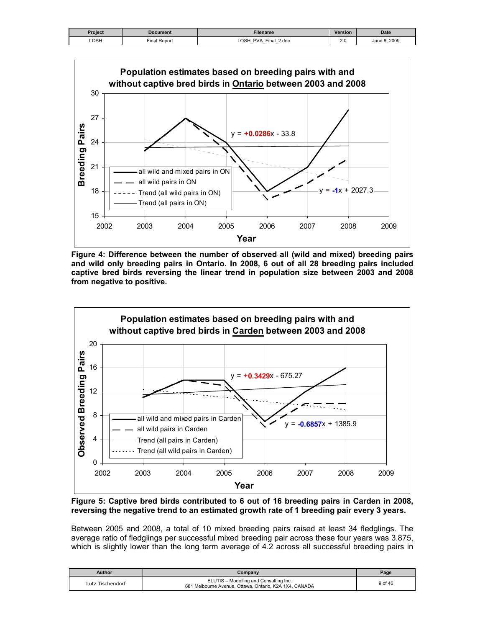| Project | <b>Document</b> | Filename                                                      | Version       | <b>Date</b>      |
|---------|-----------------|---------------------------------------------------------------|---------------|------------------|
| LOSH    | Final Report    | <b>LOSH</b><br>Final 2.doc<br>PVA<br>$\overline{\phantom{0}}$ | $\sim$<br>Z.U | 8.2009<br>June P |



**Figure 4: Difference between the number of observed all (wild and mixed) breeding pairs and wild only breeding pairs in Ontario. In 2008, 6 out of all 28 breeding pairs included captive bred birds reversing the linear trend in population size between 2003 and 2008 from negative to positive.** 



**Figure 5: Captive bred birds contributed to 6 out of 16 breeding pairs in Carden in 2008, reversing the negative trend to an estimated growth rate of 1 breeding pair every 3 years.** 

Between 2005 and 2008, a total of 10 mixed breeding pairs raised at least 34 fledglings. The average ratio of fledglings per successful mixed breeding pair across these four years was 3.875, which is slightly lower than the long term average of 4.2 across all successful breeding pairs in

| Author           | Company                                                                                          | Page    |
|------------------|--------------------------------------------------------------------------------------------------|---------|
| Lutz Tischendorf | ELUTIS - Modelling and Consulting Inc.<br>681 Melbourne Avenue, Ottawa, Ontario, K2A 1X4, CANADA | 9 of 46 |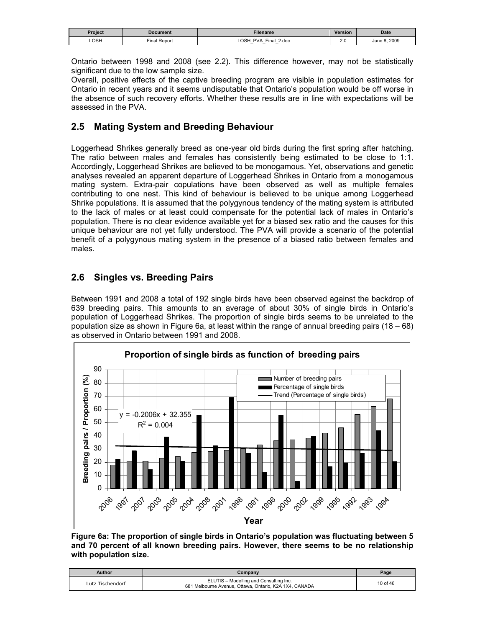| Project | Document                    | <b>Filename</b>                                                              | <b>Version</b> | <b>Date</b>      |
|---------|-----------------------------|------------------------------------------------------------------------------|----------------|------------------|
| LOSH    | $-1$<br><b>Final Report</b> | OSH<br><b>PVA</b><br>Final.<br>2.doc<br>$\overline{\phantom{0}}$<br>–<br>$-$ | 2.U<br>__      | .2009<br>June 8. |

Ontario between 1998 and 2008 (see 2.2). This difference however, may not be statistically significant due to the low sample size.

Overall, positive effects of the captive breeding program are visible in population estimates for Ontario in recent years and it seems undisputable that Ontario's population would be off worse in the absence of such recovery efforts. Whether these results are in line with expectations will be assessed in the PVA.

# **2.5 Mating System and Breeding Behaviour**

Loggerhead Shrikes generally breed as one-year old birds during the first spring after hatching. The ratio between males and females has consistently being estimated to be close to 1:1. Accordingly, Loggerhead Shrikes are believed to be monogamous. Yet, observations and genetic analyses revealed an apparent departure of Loggerhead Shrikes in Ontario from a monogamous mating system. Extra-pair copulations have been observed as well as multiple females contributing to one nest. This kind of behaviour is believed to be unique among Loggerhead Shrike populations. It is assumed that the polygynous tendency of the mating system is attributed to the lack of males or at least could compensate for the potential lack of males in Ontario's population. There is no clear evidence available yet for a biased sex ratio and the causes for this unique behaviour are not yet fully understood. The PVA will provide a scenario of the potential benefit of a polygynous mating system in the presence of a biased ratio between females and males.

# **2.6 Singles vs. Breeding Pairs**

Between 1991 and 2008 a total of 192 single birds have been observed against the backdrop of 639 breeding pairs. This amounts to an average of about 30% of single birds in Ontario's population of Loggerhead Shrikes. The proportion of single birds seems to be unrelated to the population size as shown in Figure 6a, at least within the range of annual breeding pairs (18 – 68) as observed in Ontario between 1991 and 2008.



**Figure 6a: The proportion of single birds in Ontario's population was fluctuating between 5 and 70 percent of all known breeding pairs. However, there seems to be no relationship with population size.** 

| <b>Author</b>    | Company                                                                                          | Page     |
|------------------|--------------------------------------------------------------------------------------------------|----------|
| Lutz Tischendorf | ELUTIS - Modelling and Consulting Inc.<br>681 Melbourne Avenue, Ottawa, Ontario, K2A 1X4, CANADA | 10 of 46 |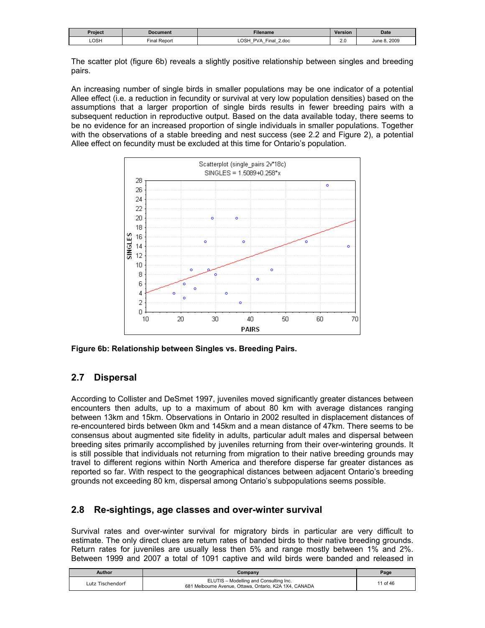| Project | Document     | <b>Filename</b>                                                                                                          | Version   | <b>Date</b>    |
|---------|--------------|--------------------------------------------------------------------------------------------------------------------------|-----------|----------------|
| LOSH    | Final Report | LOSH<br><b>PVA</b><br>2.doc<br>Final<br>$\overline{\phantom{0}}$<br>$\overline{\phantom{0}}$<br>$\overline{\phantom{0}}$ | 2.U<br>__ | 2009<br>June P |

The scatter plot (figure 6b) reveals a slightly positive relationship between singles and breeding pairs.

An increasing number of single birds in smaller populations may be one indicator of a potential Allee effect (i.e. a reduction in fecundity or survival at very low population densities) based on the assumptions that a larger proportion of single birds results in fewer breeding pairs with a subsequent reduction in reproductive output. Based on the data available today, there seems to be no evidence for an increased proportion of single individuals in smaller populations. Together with the observations of a stable breeding and nest success (see 2.2 and Figure 2), a potential Allee effect on fecundity must be excluded at this time for Ontario's population.



**Figure 6b: Relationship between Singles vs. Breeding Pairs.** 

# **2.7 Dispersal**

According to Collister and DeSmet 1997, juveniles moved significantly greater distances between encounters then adults, up to a maximum of about 80 km with average distances ranging between 13km and 15km. Observations in Ontario in 2002 resulted in displacement distances of re-encountered birds between 0km and 145km and a mean distance of 47km. There seems to be consensus about augmented site fidelity in adults, particular adult males and dispersal between breeding sites primarily accomplished by juveniles returning from their over-wintering grounds. It is still possible that individuals not returning from migration to their native breeding grounds may travel to different regions within North America and therefore disperse far greater distances as reported so far. With respect to the geographical distances between adjacent Ontario's breeding grounds not exceeding 80 km, dispersal among Ontario's subpopulations seems possible.

# **2.8 Re-sightings, age classes and over-winter survival**

Survival rates and over-winter survival for migratory birds in particular are very difficult to estimate. The only direct clues are return rates of banded birds to their native breeding grounds. Return rates for juveniles are usually less then 5% and range mostly between 1% and 2%. Between 1999 and 2007 a total of 1091 captive and wild birds were banded and released in

| Author           | Companv                                                                                          | Page     |
|------------------|--------------------------------------------------------------------------------------------------|----------|
| Lutz Tischendorf | ELUTIS - Modelling and Consulting Inc.<br>681 Melbourne Avenue, Ottawa, Ontario, K2A 1X4, CANADA | 11 of 46 |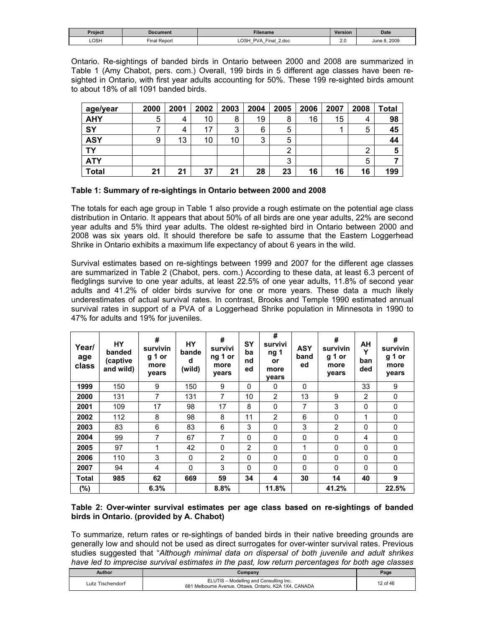| Project | Document     | Filename                                                                    | Version       | <b>Date</b>      |
|---------|--------------|-----------------------------------------------------------------------------|---------------|------------------|
| LOSH    | Final Report | OSH<br><b>PVA</b><br>2.doc<br>Final<br>-<br>$\overline{\phantom{0}}$<br>$-$ | $\sim$<br>Z.U | 8.2009<br>June 8 |

Ontario. Re-sightings of banded birds in Ontario between 2000 and 2008 are summarized in Table 1 (Amy Chabot, pers. com.) Overall, 199 birds in 5 different age classes have been resighted in Ontario, with first year adults accounting for 50%. These 199 re-sighted birds amount to about 18% of all 1091 banded birds.

| age/year     | 2000 | 2001 | 2002 | 2003 | 2004 | 2005 | 2006 | 2007 | 2008 | <b>Total</b> |
|--------------|------|------|------|------|------|------|------|------|------|--------------|
| <b>AHY</b>   | 5    | 4    | 10   | 8    | 19   | 8    | 16   | 15   | 4    | 98           |
| SY           |      | 4    | 17   | 3    | 6    | 5    |      |      | 5    | 45           |
| <b>ASY</b>   | 9    | 13   | 10   | 10   | 3    | 5    |      |      |      | 44           |
| TΥ           |      |      |      |      |      | ◠    |      |      | ◠    |              |
| <b>ATY</b>   |      |      |      |      |      | 3    |      |      | 5    |              |
| <b>Total</b> | 21   | 21   | 37   | 21   | 28   | 23   | 16   | 16   | 16   | 199          |

#### **Table 1: Summary of re-sightings in Ontario between 2000 and 2008**

The totals for each age group in Table 1 also provide a rough estimate on the potential age class distribution in Ontario. It appears that about 50% of all birds are one year adults, 22% are second year adults and 5% third year adults. The oldest re-sighted bird in Ontario between 2000 and 2008 was six years old. It should therefore be safe to assume that the Eastern Loggerhead Shrike in Ontario exhibits a maximum life expectancy of about 6 years in the wild.

Survival estimates based on re-sightings between 1999 and 2007 for the different age classes are summarized in Table 2 (Chabot, pers. com.) According to these data, at least 6.3 percent of fledglings survive to one year adults, at least 22.5% of one year adults, 11.8% of second year adults and 41.2% of older birds survive for one or more years. These data a much likely underestimates of actual survival rates. In contrast, Brooks and Temple 1990 estimated annual survival rates in support of a PVA of a Loggerhead Shrike population in Minnesota in 1990 to 47% for adults and 19% for juveniles.

| Year/<br>age<br>class | <b>HY</b><br>banded<br>(captive<br>and wild) | #<br>survivin<br>g 1 or<br>more<br>years | <b>HY</b><br>bande<br>d<br>(wild) | #<br>survivi<br>ng 1 or<br>more<br>years | <b>SY</b><br>ba<br>nd<br>ed | #<br>survivi<br>ng 1<br>or<br>more<br>vears | <b>ASY</b><br>band<br>ed | #<br>survivin<br>g 1 or<br>more<br>years | AH<br>Y<br>ban<br>ded | #<br>survivin<br>g 1 or<br>more<br>years |
|-----------------------|----------------------------------------------|------------------------------------------|-----------------------------------|------------------------------------------|-----------------------------|---------------------------------------------|--------------------------|------------------------------------------|-----------------------|------------------------------------------|
| 1999                  | 150                                          | 9                                        | 150                               | 9                                        | $\mathbf{0}$                | 0                                           | $\mathbf{0}$             |                                          | 33                    | 9                                        |
| 2000                  | 131                                          | $\overline{7}$                           | 131                               | $\overline{7}$                           | 10                          | 2                                           | 13                       | 9                                        | $\overline{2}$        | 0                                        |
| 2001                  | 109                                          | 17                                       | 98                                | 17                                       | 8                           | 0                                           | 7                        | 3                                        | 0                     | 0                                        |
| 2002                  | 112                                          | 8                                        | 98                                | 8                                        | 11                          | 2                                           | 6                        | 0                                        | 1                     | 0                                        |
| 2003                  | 83                                           | 6                                        | 83                                | 6                                        | 3                           | $\mathbf{0}$                                | 3                        | $\overline{2}$                           | 0                     | 0                                        |
| 2004                  | 99                                           | 7                                        | 67                                | 7                                        | $\mathbf{0}$                | 0                                           | $\mathbf{0}$             | 0                                        | 4                     | 0                                        |
| 2005                  | 97                                           | 1                                        | 42                                | 0                                        | 2                           | $\Omega$                                    | 1                        | $\mathbf 0$                              | 0                     | 0                                        |
| 2006                  | 110                                          | 3                                        | 0                                 | 2                                        | $\Omega$                    | 0                                           | $\Omega$                 | 0                                        | 0                     | 0                                        |
| 2007                  | 94                                           | 4                                        | 0                                 | 3                                        | $\mathbf{0}$                | 0                                           | $\mathbf{0}$             | 0                                        | 0                     | 0                                        |
| <b>Total</b>          | 985                                          | 62                                       | 669                               | 59                                       | 34                          | 4                                           | 30                       | 14                                       | 40                    | 9                                        |
| $(\%)$                |                                              | 6.3%                                     |                                   | 8.8%                                     |                             | 11.8%                                       |                          | 41.2%                                    |                       | 22.5%                                    |

#### **Table 2: Over-winter survival estimates per age class based on re-sightings of banded birds in Ontario. (provided by A. Chabot)**

To summarize, return rates or re-sightings of banded birds in their native breeding grounds are generally low and should not be used as direct surrogates for over-winter survival rates. Previous studies suggested that "*Although minimal data on dispersal of both juvenile and adult shrikes have led to imprecise survival estimates in the past, low return percentages for both age classes* 

| Author           | Company                                                                                          | Page     |
|------------------|--------------------------------------------------------------------------------------------------|----------|
| Lutz Tischendorf | ELUTIS - Modelling and Consulting Inc.<br>681 Melbourne Avenue, Ottawa, Ontario, K2A 1X4, CANADA | 12 of 46 |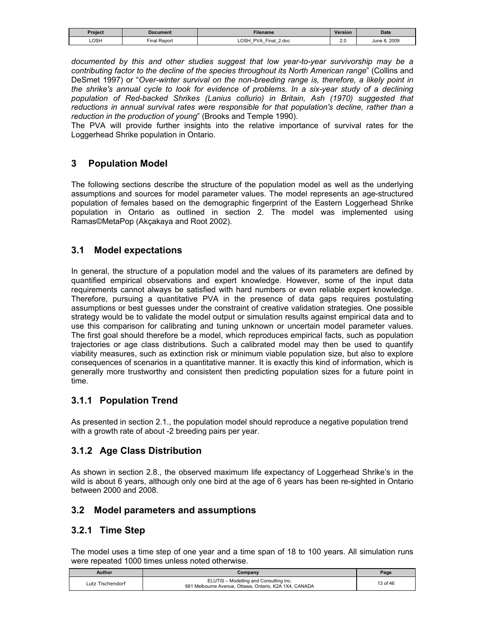| Project | Document                      | <b>Filename</b>                                      | Version    | Date           |
|---------|-------------------------------|------------------------------------------------------|------------|----------------|
| LOSH    | $\sim$<br><b>Final Report</b> | <b>OSH</b><br>PVA<br>2.doc<br>sinal<br>_<br>-<br>$-$ | n r<br>Z.U | 2009<br>June 8 |

*documented by this and other studies suggest that low year-to-year survivorship may be a contributing factor to the decline of the species throughout its North American range*" (Collins and DeSmet 1997) or "*Over-winter survival on the non-breeding range is, therefore, a likely point in the shrike's annual cycle to look for evidence of problems. In a six-year study of a declining population of Red-backed Shrikes (Lanius collurio) in Britain, Ash (1970) suggested that reductions in annual survival rates were responsible for that population's decline, rather than a reduction in the production of young*" (Brooks and Temple 1990).

The PVA will provide further insights into the relative importance of survival rates for the Loggerhead Shrike population in Ontario.

# **3 Population Model**

The following sections describe the structure of the population model as well as the underlying assumptions and sources for model parameter values. The model represents an age-structured population of females based on the demographic fingerprint of the Eastern Loggerhead Shrike population in Ontario as outlined in section 2. The model was implemented using Ramas©MetaPop (Akçakaya and Root 2002).

### **3.1 Model expectations**

In general, the structure of a population model and the values of its parameters are defined by quantified empirical observations and expert knowledge. However, some of the input data requirements cannot always be satisfied with hard numbers or even reliable expert knowledge. Therefore, pursuing a quantitative PVA in the presence of data gaps requires postulating assumptions or best guesses under the constraint of creative validation strategies. One possible strategy would be to validate the model output or simulation results against empirical data and to use this comparison for calibrating and tuning unknown or uncertain model parameter values. The first goal should therefore be a model, which reproduces empirical facts, such as population trajectories or age class distributions. Such a calibrated model may then be used to quantify viability measures, such as extinction risk or minimum viable population size, but also to explore consequences of scenarios in a quantitative manner. It is exactly this kind of information, which is generally more trustworthy and consistent then predicting population sizes for a future point in time.

# **3.1.1 Population Trend**

As presented in section 2.1., the population model should reproduce a negative population trend with a growth rate of about -2 breeding pairs per year.

# **3.1.2 Age Class Distribution**

As shown in section 2.8., the observed maximum life expectancy of Loggerhead Shrike's in the wild is about 6 years, although only one bird at the age of 6 years has been re-sighted in Ontario between 2000 and 2008.

### **3.2 Model parameters and assumptions**

### **3.2.1 Time Step**

The model uses a time step of one year and a time span of 18 to 100 years. All simulation runs were repeated 1000 times unless noted otherwise.

| Author           | Company                                                                                          | Page     |
|------------------|--------------------------------------------------------------------------------------------------|----------|
| Lutz Tischendorf | ELUTIS - Modelling and Consulting Inc.<br>681 Melbourne Avenue, Ottawa, Ontario, K2A 1X4, CANADA | 13 of 46 |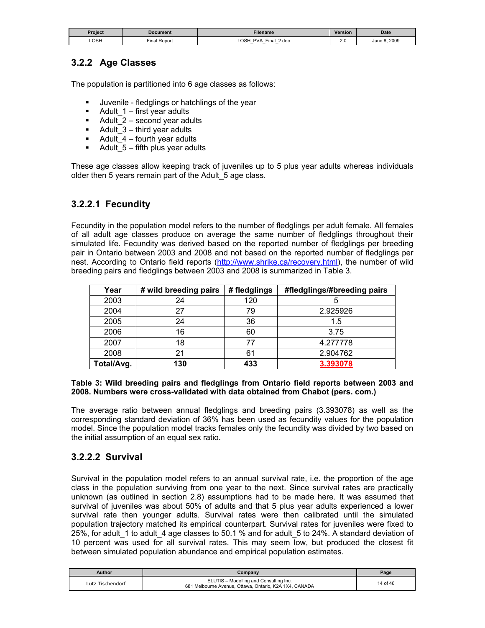| Project | Document        | <b>Filename</b>                                                              | <b>Version</b> | <b>Date</b>  |
|---------|-----------------|------------------------------------------------------------------------------|----------------|--------------|
| LOSH    | Report<br>Final | <b>LOSH</b><br>PVA<br>Final<br>2.doc<br>–<br>$-$<br>$\overline{\phantom{0}}$ | n r<br>2.U     | June 8, 2009 |

# **3.2.2 Age Classes**

The population is partitioned into 6 age classes as follows:

- Juvenile fledglings or hatchlings of the year
- Adult  $1$  first year adults
- Adult  $2$  second year adults
- Adult\_3 third year adults
- $\blacksquare$  Adult\_4 fourth year adults
- Adult  $5 -$  fifth plus year adults

These age classes allow keeping track of juveniles up to 5 plus year adults whereas individuals older then 5 years remain part of the Adult\_5 age class.

### **3.2.2.1 Fecundity**

Fecundity in the population model refers to the number of fledglings per adult female. All females of all adult age classes produce on average the same number of fledglings throughout their simulated life. Fecundity was derived based on the reported number of fledglings per breeding pair in Ontario between 2003 and 2008 and not based on the reported number of fledglings per nest. According to Ontario field reports (http://www.shrike.ca/recovery.html), the number of wild breeding pairs and fledglings between 2003 and 2008 is summarized in Table 3.

| Year       | # wild breeding pairs | # fledglings | #fledglings/#breeding pairs |
|------------|-----------------------|--------------|-----------------------------|
| 2003       | 24                    | 120          |                             |
| 2004       | 27                    | 79           | 2.925926                    |
| 2005       | 24                    | 36           | 1.5                         |
| 2006       | 16                    | 60           | 3.75                        |
| 2007       | 18                    | 77           | 4.277778                    |
| 2008       | 21                    | 61           | 2.904762                    |
| Total/Avg. | 130                   | 433          | 3.393078                    |

#### **Table 3: Wild breeding pairs and fledglings from Ontario field reports between 2003 and 2008. Numbers were cross-validated with data obtained from Chabot (pers. com.)**

The average ratio between annual fledglings and breeding pairs (3.393078) as well as the corresponding standard deviation of 36% has been used as fecundity values for the population model. Since the population model tracks females only the fecundity was divided by two based on the initial assumption of an equal sex ratio.

# **3.2.2.2 Survival**

Survival in the population model refers to an annual survival rate, i.e. the proportion of the age class in the population surviving from one year to the next. Since survival rates are practically unknown (as outlined in section 2.8) assumptions had to be made here. It was assumed that survival of juveniles was about 50% of adults and that 5 plus year adults experienced a lower survival rate then younger adults. Survival rates were then calibrated until the simulated population trajectory matched its empirical counterpart. Survival rates for juveniles were fixed to 25%, for adult\_1 to adult\_4 age classes to 50.1 % and for adult\_5 to 24%. A standard deviation of 10 percent was used for all survival rates. This may seem low, but produced the closest fit between simulated population abundance and empirical population estimates.

| Author           | Company                                                                                          | Page     |
|------------------|--------------------------------------------------------------------------------------------------|----------|
| Lutz Tischendorf | ELUTIS - Modelling and Consulting Inc.<br>681 Melbourne Avenue, Ottawa, Ontario, K2A 1X4, CANADA | 14 of 46 |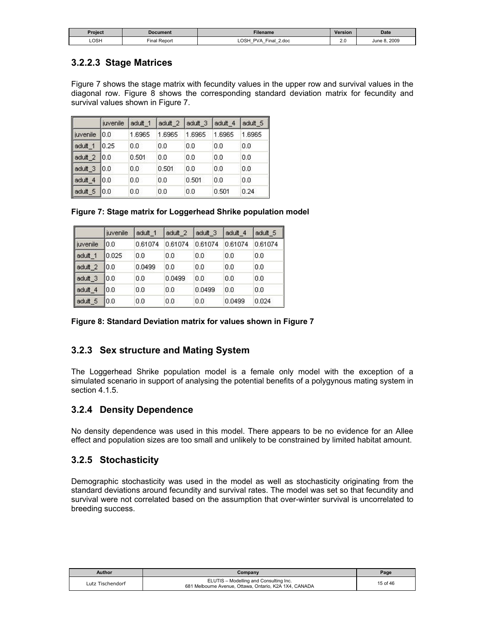| Project | Document     | Filename                                                                            | <b>Version</b> | <b>Date</b>  |
|---------|--------------|-------------------------------------------------------------------------------------|----------------|--------------|
| LOSH    | Final Report | <b>LOSH</b><br><b>PVA</b><br>Final<br>2.doc<br>$-$<br>-<br>$\overline{\phantom{0}}$ | $\sim$         | June 8, 2009 |

# **3.2.2.3 Stage Matrices**

Figure 7 shows the stage matrix with fecundity values in the upper row and survival values in the diagonal row. Figure 8 shows the corresponding standard deviation matrix for fecundity and survival values shown in Figure 7.

|          | juvenile | adult 1  | adult_2 | adult 3 | adult 4 | adult 5 |
|----------|----------|----------|---------|---------|---------|---------|
| juvenile | 10.0     | 1.6965   | 1.6965  | 1.6965  | 1.6965  | 1.6965  |
| adult_1  | 0.25     | 0.0      | 0.0     | 0.0     | 0.0     | 0.0     |
| adult 2  | 10.0     | 0.501    | 0.0     | 0.0     | 0.0     | 0.0     |
| adult 3  | 10.0     | 0.0      | 0.501   | 0.0     | 0.0     | 0.0     |
| adult 4  | 10.0     | $_{0.0}$ | 0.0     | 0.501   | 0.0     | 0.0     |
| adult_5  | 10.0     | 0.0      | 0.0     | 0.0     | 0.501   | 0.24    |

|  |  | Figure 7: Stage matrix for Loggerhead Shrike population model |  |  |
|--|--|---------------------------------------------------------------|--|--|
|  |  |                                                               |  |  |

|                    | <i>iuvenile</i> | adult 1 | adult 2 | adult 3 | adult 4 | adult 5 |
|--------------------|-----------------|---------|---------|---------|---------|---------|
| liuvenile          | 10.0            | 0.61074 | 0.61074 | 0.61074 | 0.61074 | 0.61074 |
| adult 1            | 0.025           | 0.0     | 0.0     | 0.0     | 0.0     | 0.0     |
| adult <sub>2</sub> | 10.0            | 0.0499  | 0.0     | 0.0     | 0.0     | 0.0     |
| adult 3            | 10.0            | 0.0     | 0.0499  | 0.0     | 0.0     | 0.0     |
| adult <sub>4</sub> | 10.O            | 0.0     | 0.0     | 0.0499  | 0.0     | 0.0     |
| adult 5            | 10.0            | 0.0     | 0.0     | 0.0     | 0.0499  | 0.024   |

|  |  |  | Figure 8: Standard Deviation matrix for values shown in Figure 7 |
|--|--|--|------------------------------------------------------------------|
|  |  |  |                                                                  |

# **3.2.3 Sex structure and Mating System**

The Loggerhead Shrike population model is a female only model with the exception of a simulated scenario in support of analysing the potential benefits of a polygynous mating system in section 4.1.5.

# **3.2.4 Density Dependence**

No density dependence was used in this model. There appears to be no evidence for an Allee effect and population sizes are too small and unlikely to be constrained by limited habitat amount.

### **3.2.5 Stochasticity**

Demographic stochasticity was used in the model as well as stochasticity originating from the standard deviations around fecundity and survival rates. The model was set so that fecundity and survival were not correlated based on the assumption that over-winter survival is uncorrelated to breeding success.

| Author           | $\mathcal{L}$ ompany                                                                             | Page     |
|------------------|--------------------------------------------------------------------------------------------------|----------|
| Lutz Tischendorf | ELUTIS - Modelling and Consulting Inc.<br>681 Melbourne Avenue, Ottawa, Ontario, K2A 1X4, CANADA | 15 of 46 |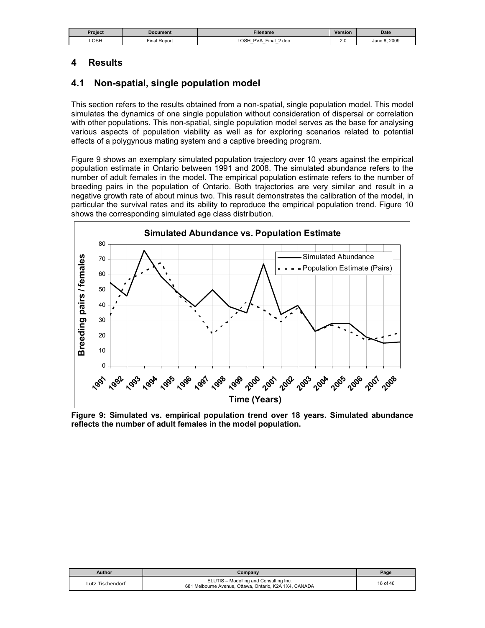| Project | Document                  | Filename                                                                  | Version       | <b>Date</b>       |
|---------|---------------------------|---------------------------------------------------------------------------|---------------|-------------------|
| LOSH    | $- \cdot$<br>Final Report | OSH<br><b>PVA</b><br>2.doc<br>Final<br>$\overline{\phantom{0}}$<br>-<br>- | $\sim$<br>2.U | 8.2009<br>June 8. |

# **4 Results**

### **4.1 Non-spatial, single population model**

This section refers to the results obtained from a non-spatial, single population model. This model simulates the dynamics of one single population without consideration of dispersal or correlation with other populations. This non-spatial, single population model serves as the base for analysing various aspects of population viability as well as for exploring scenarios related to potential effects of a polygynous mating system and a captive breeding program.

Figure 9 shows an exemplary simulated population trajectory over 10 years against the empirical population estimate in Ontario between 1991 and 2008. The simulated abundance refers to the number of adult females in the model. The empirical population estimate refers to the number of breeding pairs in the population of Ontario. Both trajectories are very similar and result in a negative growth rate of about minus two. This result demonstrates the calibration of the model, in particular the survival rates and its ability to reproduce the empirical population trend. Figure 10 shows the corresponding simulated age class distribution.



**Figure 9: Simulated vs. empirical population trend over 18 years. Simulated abundance reflects the number of adult females in the model population.** 

| Author           | Company                                                                                          | Page     |
|------------------|--------------------------------------------------------------------------------------------------|----------|
| Lutz Tischendorf | ELUTIS - Modelling and Consulting Inc.<br>681 Melbourne Avenue, Ottawa, Ontario, K2A 1X4, CANADA | 16 of 46 |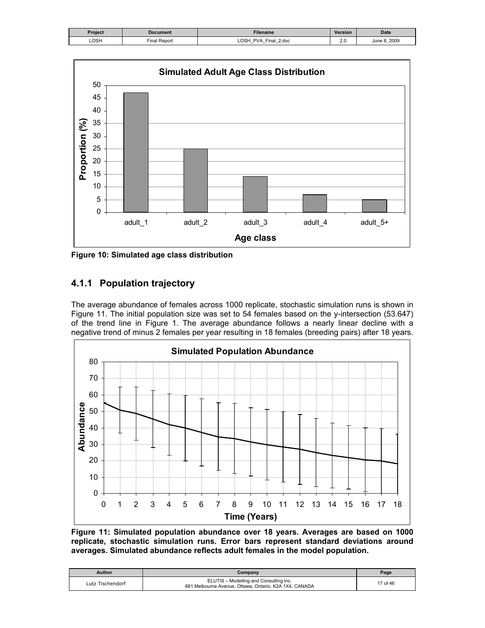| <b>Document</b>     | Filename                                                      | <b>Version</b> | <b>Date</b>  |
|---------------------|---------------------------------------------------------------|----------------|--------------|
| <b>Final Report</b> | LOSH<br>PVA Final 2.doc<br>_<br>–<br>$\overline{\phantom{0}}$ | 2.0            | June 8, 2009 |
|                     |                                                               |                |              |



**Figure 10: Simulated age class distribution** 

# **4.1.1 Population trajectory**

The average abundance of females across 1000 replicate, stochastic simulation runs is shown in Figure 11. The initial population size was set to 54 females based on the y-intersection (53.647) of the trend line in Figure 1. The average abundance follows a nearly linear decline with a negative trend of minus 2 females per year resulting in 18 females (breeding pairs) after 18 years.



**Figure 11: Simulated population abundance over 18 years. Averages are based on 1000 replicate, stochastic simulation runs. Error bars represent standard deviations around averages. Simulated abundance reflects adult females in the model population.** 

| <b>Author</b>    | Company                                                                                          | Page     |
|------------------|--------------------------------------------------------------------------------------------------|----------|
| Lutz Tischendorf | ELUTIS - Modelling and Consulting Inc.<br>681 Melbourne Avenue, Ottawa, Ontario, K2A 1X4, CANADA | 17 of 46 |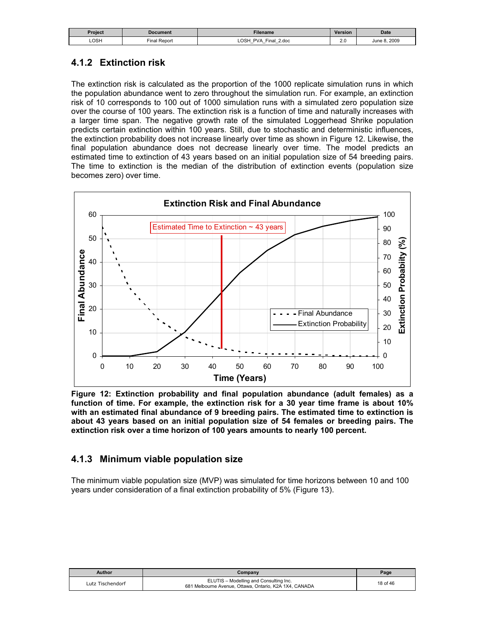| Project | <b>Document</b> | Filename                                                                                     | Version    | <b>Date</b>  |
|---------|-----------------|----------------------------------------------------------------------------------------------|------------|--------------|
| LOSH    | Final Report    | LOSH<br><b>PVA</b><br>2.doc<br>Final<br>$\overline{\phantom{0}}$<br>$\overline{\phantom{0}}$ | n r<br>Z.V | June 8, 2009 |

# **4.1.2 Extinction risk**

The extinction risk is calculated as the proportion of the 1000 replicate simulation runs in which the population abundance went to zero throughout the simulation run. For example, an extinction risk of 10 corresponds to 100 out of 1000 simulation runs with a simulated zero population size over the course of 100 years. The extinction risk is a function of time and naturally increases with a larger time span. The negative growth rate of the simulated Loggerhead Shrike population predicts certain extinction within 100 years. Still, due to stochastic and deterministic influences, the extinction probability does not increase linearly over time as shown in Figure 12. Likewise, the final population abundance does not decrease linearly over time. The model predicts an estimated time to extinction of 43 years based on an initial population size of 54 breeding pairs. The time to extinction is the median of the distribution of extinction events (population size becomes zero) over time.



**Figure 12: Extinction probability and final population abundance (adult females) as a function of time. For example, the extinction risk for a 30 year time frame is about 10% with an estimated final abundance of 9 breeding pairs. The estimated time to extinction is about 43 years based on an initial population size of 54 females or breeding pairs. The extinction risk over a time horizon of 100 years amounts to nearly 100 percent.** 

### **4.1.3 Minimum viable population size**

The minimum viable population size (MVP) was simulated for time horizons between 10 and 100 years under consideration of a final extinction probability of 5% (Figure 13).

| Author           | Company                                                                                          | Page     |
|------------------|--------------------------------------------------------------------------------------------------|----------|
| Lutz Tischendorf | ELUTIS - Modelling and Consulting Inc.<br>681 Melbourne Avenue, Ottawa, Ontario, K2A 1X4, CANADA | 18 of 46 |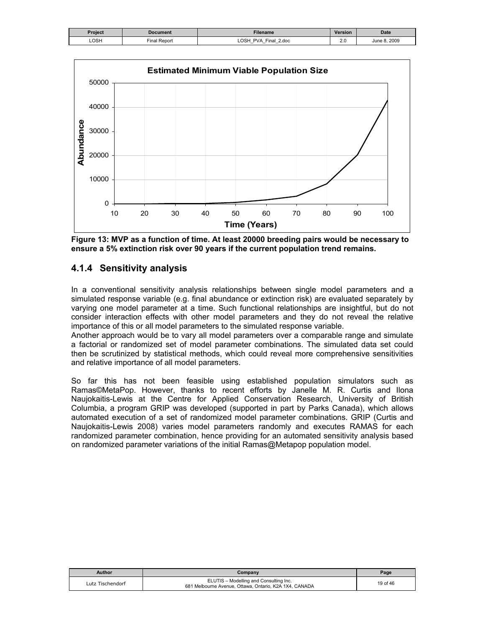| Project | Document     | Filename                                                                 | <b>Version</b> | <b>Date</b>  |
|---------|--------------|--------------------------------------------------------------------------|----------------|--------------|
| LOSH    | Final Report | <b>LOSH</b><br>PVA<br>$\cdot$ Final $\epsilon$ .<br>2.doc<br>_<br>-<br>- | Z.V            | June 8, 2009 |



**Figure 13: MVP as a function of time. At least 20000 breeding pairs would be necessary to ensure a 5% extinction risk over 90 years if the current population trend remains.** 

# **4.1.4 Sensitivity analysis**

In a conventional sensitivity analysis relationships between single model parameters and a simulated response variable (e.g. final abundance or extinction risk) are evaluated separately by varying one model parameter at a time. Such functional relationships are insightful, but do not consider interaction effects with other model parameters and they do not reveal the relative importance of this or all model parameters to the simulated response variable.

Another approach would be to vary all model parameters over a comparable range and simulate a factorial or randomized set of model parameter combinations. The simulated data set could then be scrutinized by statistical methods, which could reveal more comprehensive sensitivities and relative importance of all model parameters.

So far this has not been feasible using established population simulators such as Ramas©MetaPop. However, thanks to recent efforts by Janelle M. R. Curtis and Ilona Naujokaitis-Lewis at the Centre for Applied Conservation Research, University of British Columbia, a program GRIP was developed (supported in part by Parks Canada), which allows automated execution of a set of randomized model parameter combinations. GRIP (Curtis and Naujokaitis-Lewis 2008) varies model parameters randomly and executes RAMAS for each randomized parameter combination, hence providing for an automated sensitivity analysis based on randomized parameter variations of the initial Ramas@Metapop population model.

| <b>Author</b>    | Company                                                                                          | Page     |
|------------------|--------------------------------------------------------------------------------------------------|----------|
| Lutz Tischendorf | ELUTIS - Modelling and Consulting Inc.<br>681 Melbourne Avenue, Ottawa, Ontario, K2A 1X4, CANADA | 19 of 46 |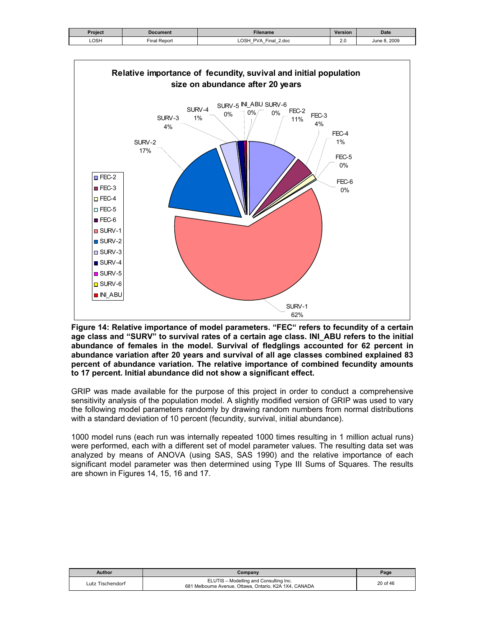| Project | Document     | Filename                                                                            | <b>Version</b> | <b>Date</b>  |
|---------|--------------|-------------------------------------------------------------------------------------|----------------|--------------|
| LOSH    | Final Report | <b>LOSH</b><br><b>PVA</b><br>Final<br>2.doc<br>$\overline{\phantom{0}}$<br>$-$<br>– | ົ<br>2.U       | June 8, 2009 |



**Figure 14: Relative importance of model parameters. "FEC" refers to fecundity of a certain age class and "SURV" to survival rates of a certain age class. INI\_ABU refers to the initial abundance of females in the model. Survival of fledglings accounted for 62 percent in abundance variation after 20 years and survival of all age classes combined explained 83 percent of abundance variation. The relative importance of combined fecundity amounts to 17 percent. Initial abundance did not show a significant effect.** 

GRIP was made available for the purpose of this project in order to conduct a comprehensive sensitivity analysis of the population model. A slightly modified version of GRIP was used to vary the following model parameters randomly by drawing random numbers from normal distributions with a standard deviation of 10 percent (fecundity, survival, initial abundance).

1000 model runs (each run was internally repeated 1000 times resulting in 1 million actual runs) were performed, each with a different set of model parameter values. The resulting data set was analyzed by means of ANOVA (using SAS, SAS 1990) and the relative importance of each significant model parameter was then determined using Type III Sums of Squares. The results are shown in Figures 14, 15, 16 and 17.

| <b>Author</b>    | Company                                                                                          | Page     |
|------------------|--------------------------------------------------------------------------------------------------|----------|
| Lutz Tischendorf | ELUTIS - Modelling and Consulting Inc.<br>681 Melbourne Avenue, Ottawa, Ontario, K2A 1X4, CANADA | 20 of 46 |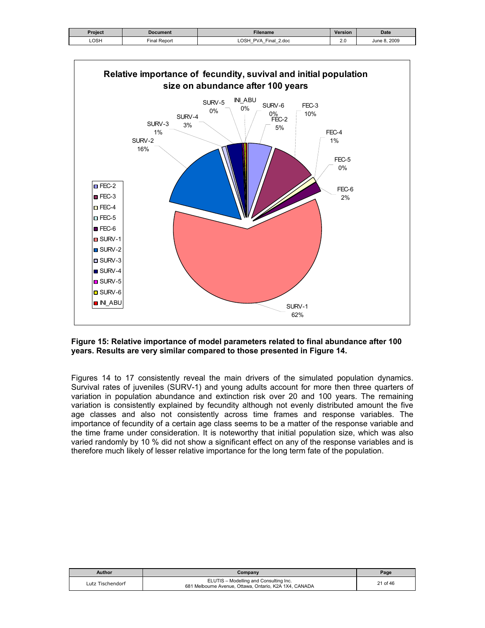| Project | Document     | Filename                                                                                           | Version | <b>Date</b>  |
|---------|--------------|----------------------------------------------------------------------------------------------------|---------|--------------|
| LOSH    | Final Report | OSH<br>Final<br><b>PVA</b><br>2.doc<br>$\overline{\phantom{0}}$<br>$\overline{\phantom{0}}$<br>$-$ | Z.U     | June 8, 2009 |



#### **Figure 15: Relative importance of model parameters related to final abundance after 100 years. Results are very similar compared to those presented in Figure 14.**

Figures 14 to 17 consistently reveal the main drivers of the simulated population dynamics. Survival rates of juveniles (SURV-1) and young adults account for more then three quarters of variation in population abundance and extinction risk over 20 and 100 years. The remaining variation is consistently explained by fecundity although not evenly distributed amount the five age classes and also not consistently across time frames and response variables. The importance of fecundity of a certain age class seems to be a matter of the response variable and the time frame under consideration. It is noteworthy that initial population size, which was also varied randomly by 10 % did not show a significant effect on any of the response variables and is therefore much likely of lesser relative importance for the long term fate of the population.

| Author           | Companv                                                                                          | Page     |
|------------------|--------------------------------------------------------------------------------------------------|----------|
| Lutz Tischendorf | ELUTIS - Modelling and Consulting Inc.<br>681 Melbourne Avenue, Ottawa, Ontario, K2A 1X4, CANADA | 21 of 46 |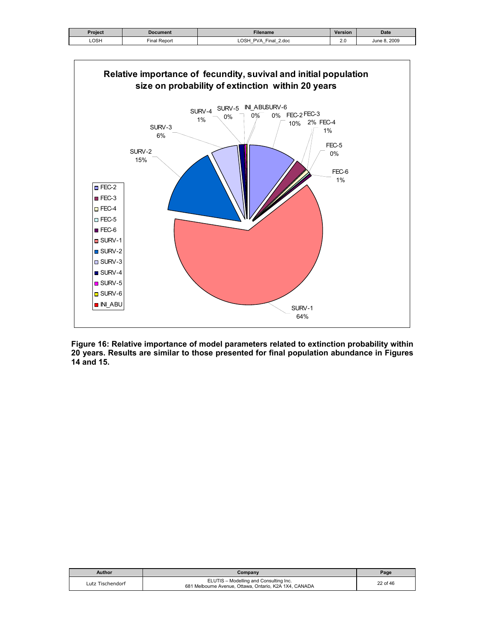| Project | <b>Document</b> | Filename                                                                                               | <b>Version</b> | <b>Date</b>     |
|---------|-----------------|--------------------------------------------------------------------------------------------------------|----------------|-----------------|
| LOSH    | Final Report    | <b>LOSH</b><br>$r$ inal<br>2.doc<br><b>PVA</b><br>$\overline{\phantom{0}}$<br>$\overline{\phantom{0}}$ | ∠.៶            | 2009<br>June 8. |



**Figure 16: Relative importance of model parameters related to extinction probability within 20 years. Results are similar to those presented for final population abundance in Figures 14 and 15.** 

| Author           | Companv                                                                                          | Page     |
|------------------|--------------------------------------------------------------------------------------------------|----------|
| Lutz Tischendorf | ELUTIS - Modelling and Consulting Inc.<br>681 Melbourne Avenue, Ottawa, Ontario, K2A 1X4, CANADA | 22 of 46 |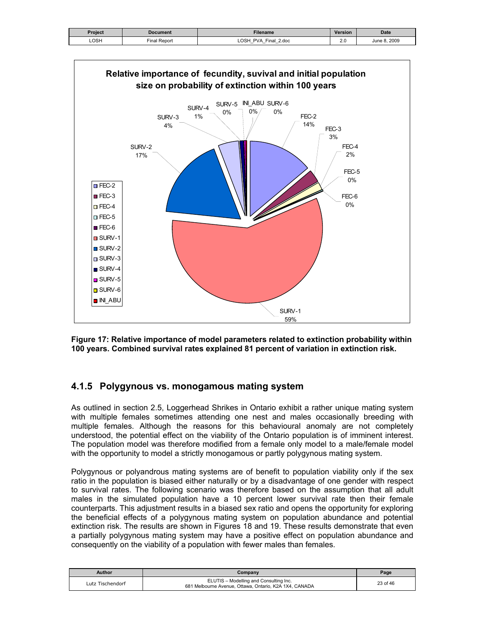| Project | <b>Document</b> | <b>Filename</b>                                                                                         | <b>Version</b> | <b>Date</b>     |
|---------|-----------------|---------------------------------------------------------------------------------------------------------|----------------|-----------------|
| LOSH    | Report<br>∶ïnal | <b>LOSH</b><br>Final 2.doc<br><b>PVA</b><br>$\overline{\phantom{0}}$<br>$\overline{\phantom{0}}$<br>$-$ | n r<br>Z.U     | 2009<br>June 8. |



**Figure 17: Relative importance of model parameters related to extinction probability within 100 years. Combined survival rates explained 81 percent of variation in extinction risk.** 

### **4.1.5 Polygynous vs. monogamous mating system**

As outlined in section 2.5, Loggerhead Shrikes in Ontario exhibit a rather unique mating system with multiple females sometimes attending one nest and males occasionally breeding with multiple females. Although the reasons for this behavioural anomaly are not completely understood, the potential effect on the viability of the Ontario population is of imminent interest. The population model was therefore modified from a female only model to a male/female model with the opportunity to model a strictly monogamous or partly polygynous mating system.

Polygynous or polyandrous mating systems are of benefit to population viability only if the sex ratio in the population is biased either naturally or by a disadvantage of one gender with respect to survival rates. The following scenario was therefore based on the assumption that all adult males in the simulated population have a 10 percent lower survival rate then their female counterparts. This adjustment results in a biased sex ratio and opens the opportunity for exploring the beneficial effects of a polygynous mating system on population abundance and potential extinction risk. The results are shown in Figures 18 and 19. These results demonstrate that even a partially polygynous mating system may have a positive effect on population abundance and consequently on the viability of a population with fewer males than females.

| Author           | Company                                                                                          | Page     |
|------------------|--------------------------------------------------------------------------------------------------|----------|
| Lutz Tischendorf | ELUTIS - Modelling and Consulting Inc.<br>681 Melbourne Avenue, Ottawa, Ontario, K2A 1X4, CANADA | 23 of 46 |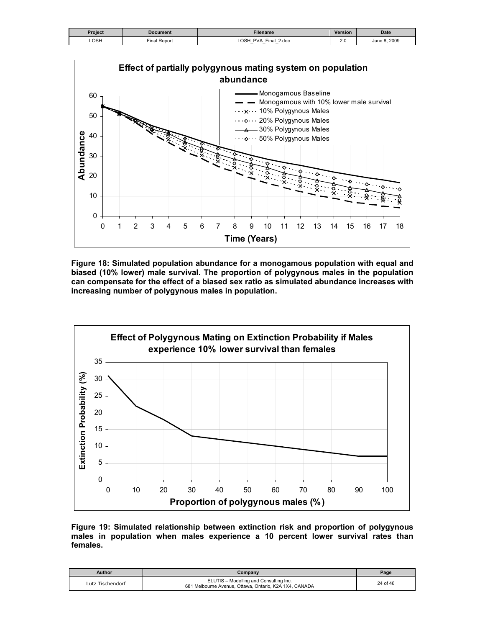| Project | Document    | Filename                                                                                                  | <b>Version</b> | <b>Date</b>  |
|---------|-------------|-----------------------------------------------------------------------------------------------------------|----------------|--------------|
| LOSH    | inal Report | <b>LOSH</b><br>$'$ 2.doc<br>Final 4<br><b>PVA</b><br>$\overline{\phantom{0}}$<br>$\overline{\phantom{0}}$ | 2.0            | June 8, 2009 |



**Figure 18: Simulated population abundance for a monogamous population with equal and biased (10% lower) male survival. The proportion of polygynous males in the population can compensate for the effect of a biased sex ratio as simulated abundance increases with increasing number of polygynous males in population.** 



**Figure 19: Simulated relationship between extinction risk and proportion of polygynous males in population when males experience a 10 percent lower survival rates than females.** 

| Author           | Company                                                                                          | Page     |
|------------------|--------------------------------------------------------------------------------------------------|----------|
| Lutz Tischendorf | ELUTIS - Modelling and Consulting Inc.<br>681 Melbourne Avenue, Ottawa, Ontario, K2A 1X4, CANADA | 24 of 46 |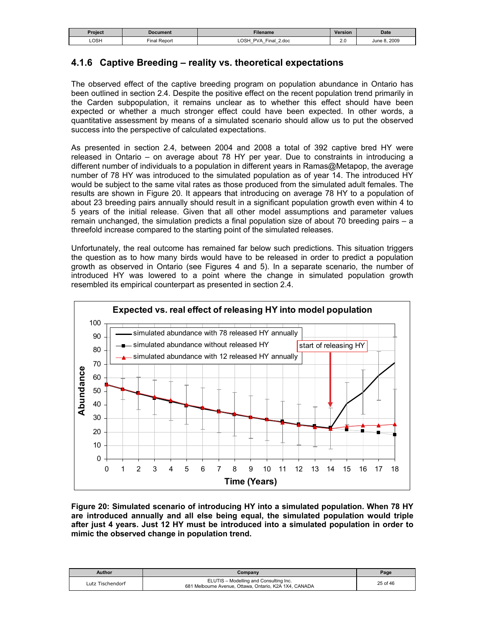| Project | Document          | <b>Filename</b>                                                            | <b>Version</b> | <b>Date</b>      |
|---------|-------------------|----------------------------------------------------------------------------|----------------|------------------|
| LOSH    | I Report<br>⊏inal | <b>LOSH</b><br>PVA<br>Final<br>2.doc<br>-<br>–<br>$\overline{\phantom{0}}$ | n r<br>2.U     | 8.2009<br>June 8 |

### **4.1.6 Captive Breeding – reality vs. theoretical expectations**

The observed effect of the captive breeding program on population abundance in Ontario has been outlined in section 2.4. Despite the positive effect on the recent population trend primarily in the Carden subpopulation, it remains unclear as to whether this effect should have been expected or whether a much stronger effect could have been expected. In other words, a quantitative assessment by means of a simulated scenario should allow us to put the observed success into the perspective of calculated expectations.

As presented in section 2.4, between 2004 and 2008 a total of 392 captive bred HY were released in Ontario – on average about 78 HY per year. Due to constraints in introducing a different number of individuals to a population in different years in Ramas@Metapop, the average number of 78 HY was introduced to the simulated population as of year 14. The introduced HY would be subject to the same vital rates as those produced from the simulated adult females. The results are shown in Figure 20. It appears that introducing on average 78 HY to a population of about 23 breeding pairs annually should result in a significant population growth even within 4 to 5 years of the initial release. Given that all other model assumptions and parameter values remain unchanged, the simulation predicts a final population size of about 70 breeding pairs – a threefold increase compared to the starting point of the simulated releases.

Unfortunately, the real outcome has remained far below such predictions. This situation triggers the question as to how many birds would have to be released in order to predict a population growth as observed in Ontario (see Figures 4 and 5). In a separate scenario, the number of introduced HY was lowered to a point where the change in simulated population growth resembled its empirical counterpart as presented in section 2.4.



**Figure 20: Simulated scenario of introducing HY into a simulated population. When 78 HY are introduced annually and all else being equal, the simulated population would triple after just 4 years. Just 12 HY must be introduced into a simulated population in order to mimic the observed change in population trend.** 

| Author           | Company                                                                                          | Page     |
|------------------|--------------------------------------------------------------------------------------------------|----------|
| Lutz Tischendorf | ELUTIS - Modelling and Consulting Inc.<br>681 Melbourne Avenue, Ottawa, Ontario, K2A 1X4, CANADA | 25 of 46 |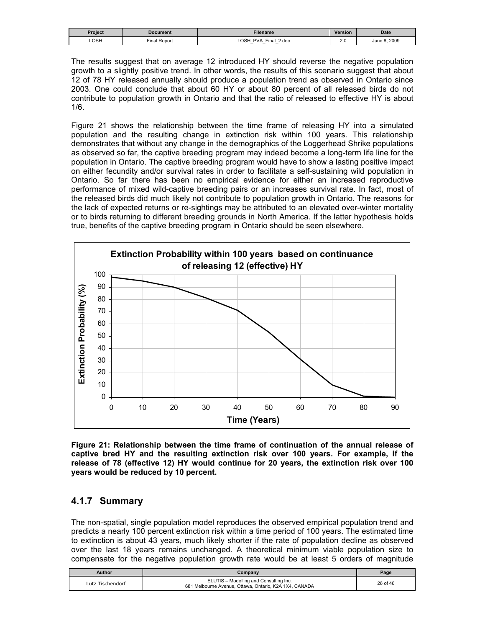| Project | Document        | Filename                                                                    | <b>Version</b>       | Date            |
|---------|-----------------|-----------------------------------------------------------------------------|----------------------|-----------------|
| LOSH    | Report<br>Final | <b>OSH</b><br>PVA<br>Final<br>2.doc<br>–<br>$-$<br>$\overline{\phantom{0}}$ | $\sim$ $\sim$<br>2.U | .2009<br>June 8 |

The results suggest that on average 12 introduced HY should reverse the negative population growth to a slightly positive trend. In other words, the results of this scenario suggest that about 12 of 78 HY released annually should produce a population trend as observed in Ontario since 2003. One could conclude that about 60 HY or about 80 percent of all released birds do not contribute to population growth in Ontario and that the ratio of released to effective HY is about 1/6.

Figure 21 shows the relationship between the time frame of releasing HY into a simulated population and the resulting change in extinction risk within 100 years. This relationship demonstrates that without any change in the demographics of the Loggerhead Shrike populations as observed so far, the captive breeding program may indeed become a long-term life line for the population in Ontario. The captive breeding program would have to show a lasting positive impact on either fecundity and/or survival rates in order to facilitate a self-sustaining wild population in Ontario. So far there has been no empirical evidence for either an increased reproductive performance of mixed wild-captive breeding pairs or an increases survival rate. In fact, most of the released birds did much likely not contribute to population growth in Ontario. The reasons for the lack of expected returns or re-sightings may be attributed to an elevated over-winter mortality or to birds returning to different breeding grounds in North America. If the latter hypothesis holds true, benefits of the captive breeding program in Ontario should be seen elsewhere.



**Figure 21: Relationship between the time frame of continuation of the annual release of captive bred HY and the resulting extinction risk over 100 years. For example, if the release of 78 (effective 12) HY would continue for 20 years, the extinction risk over 100 years would be reduced by 10 percent.** 

# **4.1.7 Summary**

The non-spatial, single population model reproduces the observed empirical population trend and predicts a nearly 100 percent extinction risk within a time period of 100 years. The estimated time to extinction is about 43 years, much likely shorter if the rate of population decline as observed over the last 18 years remains unchanged. A theoretical minimum viable population size to compensate for the negative population growth rate would be at least 5 orders of magnitude

| Author           | Companv                                                                                          | Page     |
|------------------|--------------------------------------------------------------------------------------------------|----------|
| Lutz Tischendorf | ELUTIS - Modelling and Consulting Inc.<br>681 Melbourne Avenue, Ottawa, Ontario, K2A 1X4, CANADA | 26 of 46 |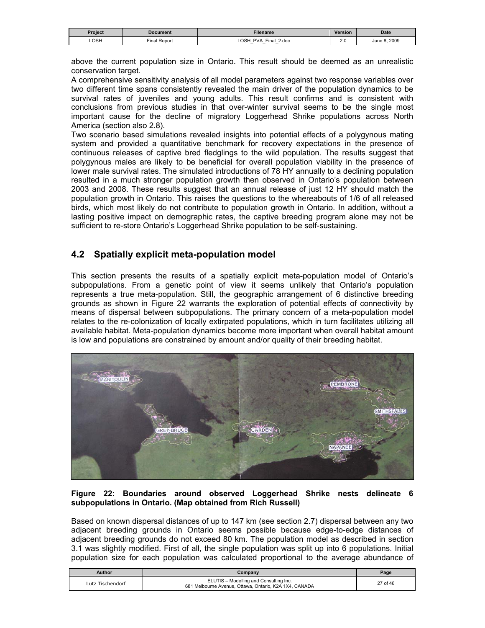| Project | Document        | <b>Filename</b>                                                     | <b>Version</b> | <b>Date</b>  |
|---------|-----------------|---------------------------------------------------------------------|----------------|--------------|
| LOSH    | Report<br>Final | LOSH<br>PVA<br>Final<br>2.doc<br>-<br>$\overline{\phantom{0}}$<br>- | n r<br>Z.U     | June 8, 2009 |

above the current population size in Ontario. This result should be deemed as an unrealistic conservation target.

A comprehensive sensitivity analysis of all model parameters against two response variables over two different time spans consistently revealed the main driver of the population dynamics to be survival rates of juveniles and young adults. This result confirms and is consistent with conclusions from previous studies in that over-winter survival seems to be the single most important cause for the decline of migratory Loggerhead Shrike populations across North America (section also 2.8).

Two scenario based simulations revealed insights into potential effects of a polygynous mating system and provided a quantitative benchmark for recovery expectations in the presence of continuous releases of captive bred fledglings to the wild population. The results suggest that polygynous males are likely to be beneficial for overall population viability in the presence of lower male survival rates. The simulated introductions of 78 HY annually to a declining population resulted in a much stronger population growth then observed in Ontario's population between 2003 and 2008. These results suggest that an annual release of just 12 HY should match the population growth in Ontario. This raises the questions to the whereabouts of 1/6 of all released birds, which most likely do not contribute to population growth in Ontario. In addition, without a lasting positive impact on demographic rates, the captive breeding program alone may not be sufficient to re-store Ontario's Loggerhead Shrike population to be self-sustaining.

# **4.2 Spatially explicit meta-population model**

This section presents the results of a spatially explicit meta-population model of Ontario's subpopulations. From a genetic point of view it seems unlikely that Ontario's population represents a true meta-population. Still, the geographic arrangement of 6 distinctive breeding grounds as shown in Figure 22 warrants the exploration of potential effects of connectivity by means of dispersal between subpopulations. The primary concern of a meta-population model relates to the re-colonization of locally extirpated populations, which in turn facilitates utilizing all available habitat. Meta-population dynamics become more important when overall habitat amount is low and populations are constrained by amount and/or quality of their breeding habitat.



#### **Figure 22: Boundaries around observed Loggerhead Shrike nests delineate 6 subpopulations in Ontario. (Map obtained from Rich Russell)**

Based on known dispersal distances of up to 147 km (see section 2.7) dispersal between any two adjacent breeding grounds in Ontario seems possible because edge-to-edge distances of adjacent breeding grounds do not exceed 80 km. The population model as described in section 3.1 was slightly modified. First of all, the single population was split up into 6 populations. Initial population size for each population was calculated proportional to the average abundance of

| Author           | Company                                                                                          | Page     |
|------------------|--------------------------------------------------------------------------------------------------|----------|
| Lutz Tischendorf | ELUTIS - Modelling and Consulting Inc.<br>681 Melbourne Avenue, Ottawa, Ontario, K2A 1X4, CANADA | 27 of 46 |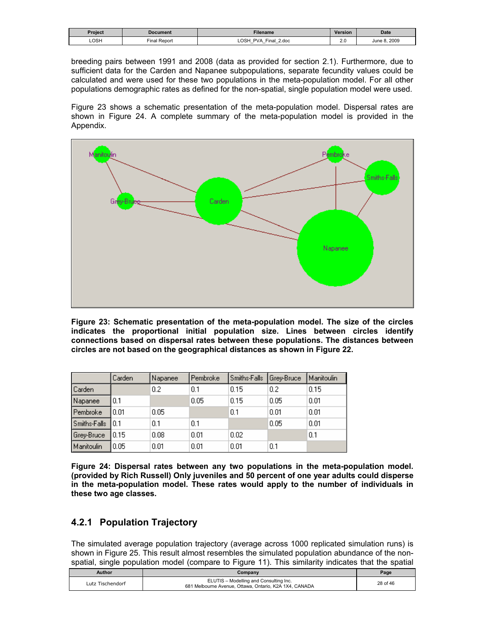| Project | Document       | <b>Filename</b>                                                                             | <b>Version</b>       | <b>Date</b>  |
|---------|----------------|---------------------------------------------------------------------------------------------|----------------------|--------------|
| LOSH    | Repor<br>Final | OSH<br>PVA<br>Final<br>2.doc<br>$\overline{\phantom{0}}$<br>$\overline{\phantom{0}}$<br>$-$ | 2 <sub>c</sub><br>__ | June 8, 2009 |

breeding pairs between 1991 and 2008 (data as provided for section 2.1). Furthermore, due to sufficient data for the Carden and Napanee subpopulations, separate fecundity values could be calculated and were used for these two populations in the meta-population model. For all other populations demographic rates as defined for the non-spatial, single population model were used.

Figure 23 shows a schematic presentation of the meta-population model. Dispersal rates are shown in Figure 24. A complete summary of the meta-population model is provided in the Appendix.



**Figure 23: Schematic presentation of the meta-population model. The size of the circles indicates the proportional initial population size. Lines between circles identify connections based on dispersal rates between these populations. The distances between circles are not based on the geographical distances as shown in Figure 22.** 

|               | Carden | Napanee | Pembroke | Smiths-Falls | Grey-Bruce | l Manitoulin |
|---------------|--------|---------|----------|--------------|------------|--------------|
| <b>Carden</b> |        | 0.2     | 0.1      | 0.15         | 0.2        | 0.15         |
| Napanee       | 0.1    |         | 0.05     | 0.15         | 0.05       | 0.01         |
| Pembroke      | 0.01   | 0.05    |          | 0.1          | 0.01       | 0.01         |
| Smiths-Falls  | IO.1   | 0.1     | 0.1      |              | 0.05       | 0.01         |
| Grey-Bruce    | 10.15  | 0.08    | 0.01     | 0.02         |            | 0.1          |
| Manitoulin    | 0.05   | 0.01    | 0.01     | 0.01         | 0.1        |              |

**Figure 24: Dispersal rates between any two populations in the meta-population model. (provided by Rich Russell) Only juveniles and 50 percent of one year adults could disperse in the meta-population model. These rates would apply to the number of individuals in these two age classes.** 

# **4.2.1 Population Trajectory**

The simulated average population trajectory (average across 1000 replicated simulation runs) is shown in Figure 25. This result almost resembles the simulated population abundance of the nonspatial, single population model (compare to Figure 11). This similarity indicates that the spatial

| Author           | Companv                                                                                          | Page     |
|------------------|--------------------------------------------------------------------------------------------------|----------|
| Lutz Tischendorf | ELUTIS - Modelling and Consulting Inc.<br>681 Melbourne Avenue, Ottawa, Ontario, K2A 1X4, CANADA | 28 of 46 |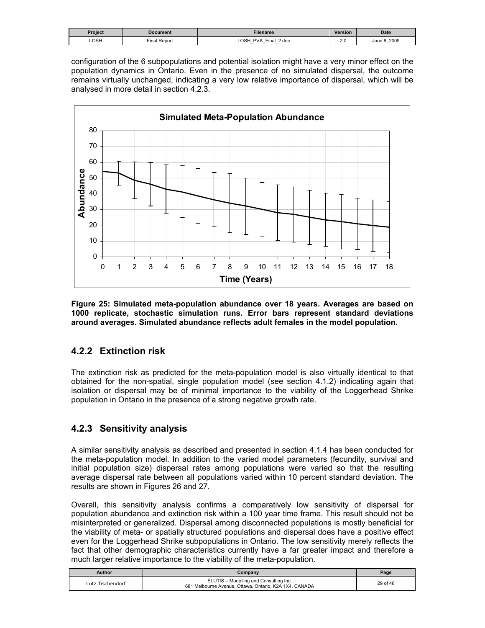| Proiect | <b>Document</b> | Filename                                                                  | <b>Version</b> | <b>Date</b>  |
|---------|-----------------|---------------------------------------------------------------------------|----------------|--------------|
| LOSH    | Final Report    | OSH<br><b>PVA</b><br>Final<br>2.doc<br>-<br>-<br>$\overline{\phantom{0}}$ | 2.0<br>__      | June 8, 2009 |

configuration of the 6 subpopulations and potential isolation might have a very minor effect on the population dynamics in Ontario. Even in the presence of no simulated dispersal, the outcome remains virtually unchanged, indicating a very low relative importance of dispersal, which will be analysed in more detail in section 4.2.3.



**Figure 25: Simulated meta-population abundance over 18 years. Averages are based on 1000 replicate, stochastic simulation runs. Error bars represent standard deviations around averages. Simulated abundance reflects adult females in the model population.** 

# **4.2.2 Extinction risk**

The extinction risk as predicted for the meta-population model is also virtually identical to that obtained for the non-spatial, single population model (see section 4.1.2) indicating again that isolation or dispersal may be of minimal importance to the viability of the Loggerhead Shrike population in Ontario in the presence of a strong negative growth rate.

# **4.2.3 Sensitivity analysis**

A similar sensitivity analysis as described and presented in section 4.1.4 has been conducted for the meta-population model. In addition to the varied model parameters (fecundity, survival and initial population size) dispersal rates among populations were varied so that the resulting average dispersal rate between all populations varied within 10 percent standard deviation. The results are shown in Figures 26 and 27.

Overall, this sensitivity analysis confirms a comparatively low sensitivity of dispersal for population abundance and extinction risk within a 100 year time frame. This result should not be misinterpreted or generalized. Dispersal among disconnected populations is mostly beneficial for the viability of meta- or spatially structured populations and dispersal does have a positive effect even for the Loggerhead Shrike subpopulations in Ontario. The low sensitivity merely reflects the fact that other demographic characteristics currently have a far greater impact and therefore a much larger relative importance to the viability of the meta-population.

| Author           | Company                                                                                          | Page     |
|------------------|--------------------------------------------------------------------------------------------------|----------|
| Lutz Tischendorf | ELUTIS - Modelling and Consulting Inc.<br>681 Melbourne Avenue, Ottawa, Ontario, K2A 1X4, CANADA | 29 of 46 |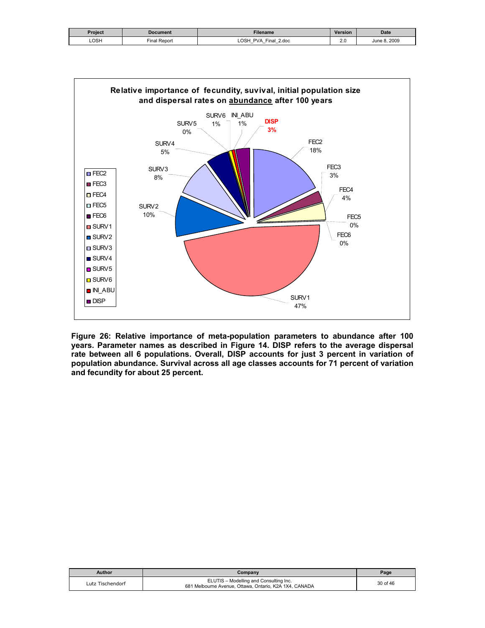| Project | Document     | Filename                                          | <b>Version</b> | Date            |
|---------|--------------|---------------------------------------------------|----------------|-----------------|
| LOSH    | Final Report | LOSH<br>$r$ inal<br>2.doc<br><b>PVA</b><br>-<br>– | ∠.៶            | 2009<br>June 8. |



**Figure 26: Relative importance of meta-population parameters to abundance after 100 years. Parameter names as described in Figure 14. DISP refers to the average dispersal rate between all 6 populations. Overall, DISP accounts for just 3 percent in variation of population abundance. Survival across all age classes accounts for 71 percent of variation and fecundity for about 25 percent.** 

| Author           | Company                                                                                          | Page     |
|------------------|--------------------------------------------------------------------------------------------------|----------|
| Lutz Tischendorf | ELUTIS - Modelling and Consulting Inc.<br>681 Melbourne Avenue, Ottawa, Ontario, K2A 1X4, CANADA | 30 of 46 |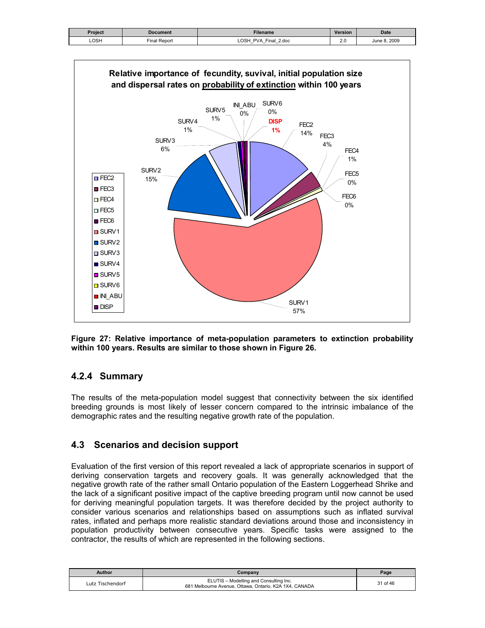| Project | Document     | Filename                                                                                               | <b>Version</b> | <b>Date</b>     |
|---------|--------------|--------------------------------------------------------------------------------------------------------|----------------|-----------------|
| LOSH    | Final Report | ∟OSP<br>$2$ .doc<br>Final<br><b>PVA</b><br>$-$<br>$\overline{\phantom{0}}$<br>$\overline{\phantom{0}}$ | n r<br>Z.V     | 2009<br>June 8. |



**Figure 27: Relative importance of meta-population parameters to extinction probability within 100 years. Results are similar to those shown in Figure 26.** 

### **4.2.4 Summary**

The results of the meta-population model suggest that connectivity between the six identified breeding grounds is most likely of lesser concern compared to the intrinsic imbalance of the demographic rates and the resulting negative growth rate of the population.

#### **4.3 Scenarios and decision support**

Evaluation of the first version of this report revealed a lack of appropriate scenarios in support of deriving conservation targets and recovery goals. It was generally acknowledged that the negative growth rate of the rather small Ontario population of the Eastern Loggerhead Shrike and the lack of a significant positive impact of the captive breeding program until now cannot be used for deriving meaningful population targets. It was therefore decided by the project authority to consider various scenarios and relationships based on assumptions such as inflated survival rates, inflated and perhaps more realistic standard deviations around those and inconsistency in population productivity between consecutive years. Specific tasks were assigned to the contractor, the results of which are represented in the following sections.

| Author           | Company                                                                                          | Page     |
|------------------|--------------------------------------------------------------------------------------------------|----------|
| Lutz Tischendorf | ELUTIS - Modelling and Consulting Inc.<br>681 Melbourne Avenue, Ottawa, Ontario, K2A 1X4, CANADA | 31 of 46 |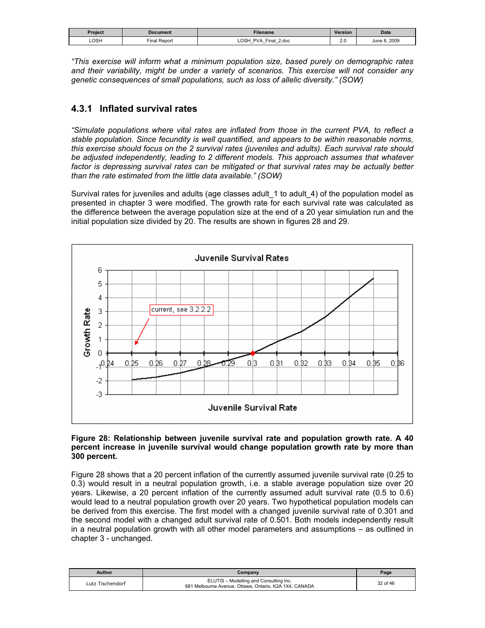| Project | Document            | <b>Filename</b>                                                | Version              | <b>Date</b>  |
|---------|---------------------|----------------------------------------------------------------|----------------------|--------------|
| LOSH    | $-$<br>Final Report | <b>LOSH</b><br><b>PVA</b><br>Final<br>2.doc<br>$-$<br>$-$<br>– | $\sim$ $\sim$<br>Z.V | June 8, 2009 |

*"This exercise will inform what a minimum population size, based purely on demographic rates and their variability, might be under a variety of scenarios. This exercise will not consider any genetic consequences of small populations, such as loss of allelic diversity." (SOW)*

# **4.3.1 Inflated survival rates**

*"Simulate populations where vital rates are inflated from those in the current PVA, to reflect a stable population. Since fecundity is well quantified, and appears to be within reasonable norms, this exercise should focus on the 2 survival rates (juveniles and adults). Each survival rate should be adjusted independently, leading to 2 different models. This approach assumes that whatever*  factor is depressing survival rates can be mitigated or that survival rates may be actually better *than the rate estimated from the little data available." (SOW)*

Survival rates for juveniles and adults (age classes adult 1 to adult 4) of the population model as presented in chapter 3 were modified. The growth rate for each survival rate was calculated as the difference between the average population size at the end of a 20 year simulation run and the initial population size divided by 20. The results are shown in figures 28 and 29.



#### **Figure 28: Relationship between juvenile survival rate and population growth rate. A 40 percent increase in juvenile survival would change population growth rate by more than 300 percent.**

Figure 28 shows that a 20 percent inflation of the currently assumed juvenile survival rate (0.25 to 0.3) would result in a neutral population growth, i.e. a stable average population size over 20 years. Likewise, a 20 percent inflation of the currently assumed adult survival rate (0.5 to 0.6) would lead to a neutral population growth over 20 years. Two hypothetical population models can be derived from this exercise. The first model with a changed juvenile survival rate of 0.301 and the second model with a changed adult survival rate of 0.501. Both models independently result in a neutral population growth with all other model parameters and assumptions – as outlined in chapter 3 - unchanged.

| Author           | Company                                                                                          | Page     |
|------------------|--------------------------------------------------------------------------------------------------|----------|
| Lutz Tischendorf | ELUTIS - Modelling and Consulting Inc.<br>681 Melbourne Avenue, Ottawa, Ontario, K2A 1X4, CANADA | 32 of 46 |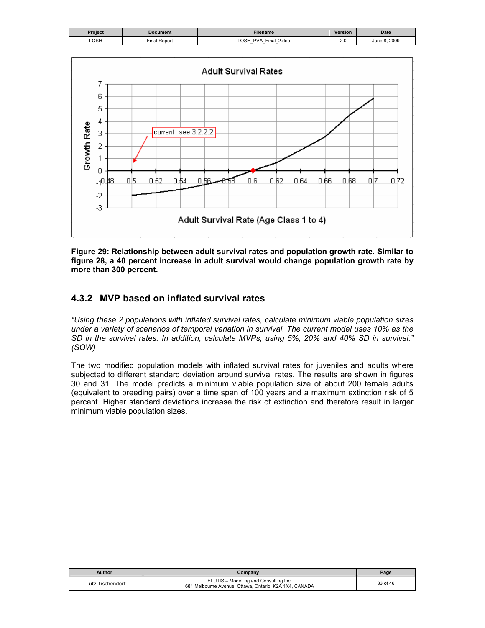| Project | <b>Document</b> | Filename                                                                                             | <b>Version</b> | <b>Date</b>  |
|---------|-----------------|------------------------------------------------------------------------------------------------------|----------------|--------------|
| LOSH    | Final Report    | <b>LOSH</b><br><b>PVA</b><br>Final.<br>2.doc<br>$\overline{\phantom{0}}$<br>$\overline{\phantom{0}}$ | Z.U            | June 8, 2009 |



**Figure 29: Relationship between adult survival rates and population growth rate. Similar to figure 28, a 40 percent increase in adult survival would change population growth rate by more than 300 percent.** 

# **4.3.2 MVP based on inflated survival rates**

*"Using these 2 populations with inflated survival rates, calculate minimum viable population sizes under a variety of scenarios of temporal variation in survival. The current model uses 10% as the SD in the survival rates. In addition, calculate MVPs, using 5%, 20% and 40% SD in survival." (SOW)*

The two modified population models with inflated survival rates for juveniles and adults where subjected to different standard deviation around survival rates. The results are shown in figures 30 and 31. The model predicts a minimum viable population size of about 200 female adults (equivalent to breeding pairs) over a time span of 100 years and a maximum extinction risk of 5 percent. Higher standard deviations increase the risk of extinction and therefore result in larger minimum viable population sizes.

| Author           | Company                                                                                          | Page     |
|------------------|--------------------------------------------------------------------------------------------------|----------|
| Lutz Tischendorf | ELUTIS - Modelling and Consulting Inc.<br>681 Melbourne Avenue, Ottawa, Ontario, K2A 1X4, CANADA | 33 of 46 |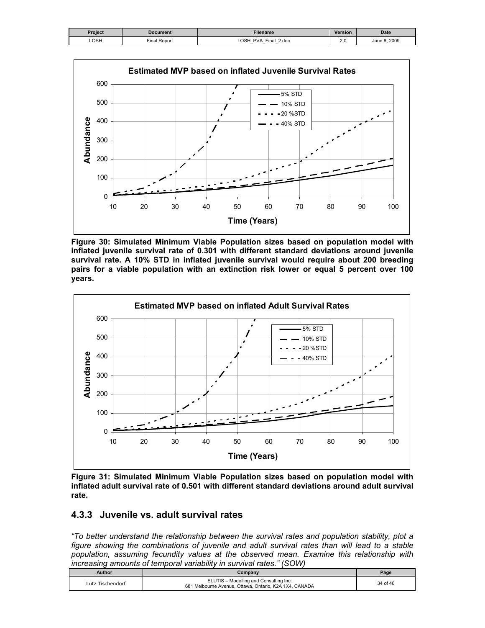| Project | Document     | Filename                                                                       | <b>Version</b> | <b>Date</b>     |
|---------|--------------|--------------------------------------------------------------------------------|----------------|-----------------|
| LOSH    | Final Report | <b>OSH</b><br><b>PVA</b><br>Final.<br>2.doc<br>$-$<br>$\overline{\phantom{0}}$ | 2.J            | 2009<br>June 8. |



**Figure 30: Simulated Minimum Viable Population sizes based on population model with inflated juvenile survival rate of 0.301 with different standard deviations around juvenile survival rate. A 10% STD in inflated juvenile survival would require about 200 breeding pairs for a viable population with an extinction risk lower or equal 5 percent over 100 years.** 



**Figure 31: Simulated Minimum Viable Population sizes based on population model with inflated adult survival rate of 0.501 with different standard deviations around adult survival rate.** 

# **4.3.3 Juvenile vs. adult survival rates**

*"To better understand the relationship between the survival rates and population stability, plot a figure showing the combinations of juvenile and adult survival rates than will lead to a stable population, assuming fecundity values at the observed mean. Examine this relationship with increasing amounts of temporal variability in survival rates." (SOW)*

| Author           | Company                                                                                          | Page     |
|------------------|--------------------------------------------------------------------------------------------------|----------|
| Lutz Tischendorf | ELUTIS - Modelling and Consulting Inc.<br>681 Melbourne Avenue, Ottawa, Ontario, K2A 1X4, CANADA | 34 of 46 |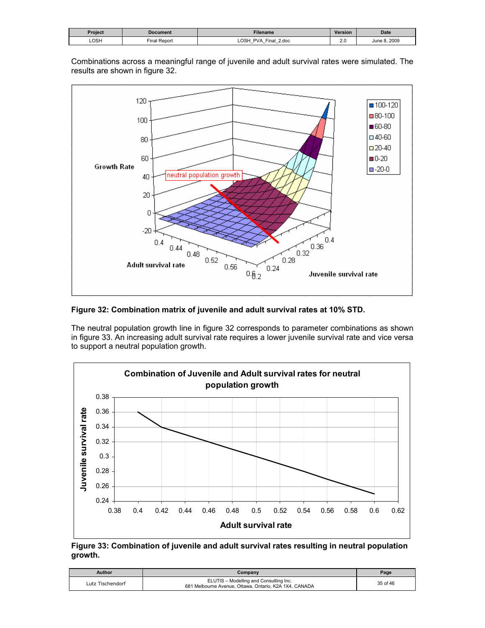| Project | Document     | Filename                                                                        | <b>Version</b> | <b>Date</b>  |
|---------|--------------|---------------------------------------------------------------------------------|----------------|--------------|
| LOSH    | Final Report | <b>OSH</b><br>PVA<br>$Final_+$<br>2.doc<br>$-$<br>$\overline{\phantom{0}}$<br>- | 2.0<br>___     | June 8, 2009 |

120  $\blacksquare$  100-120  $\blacksquare$ 80-100 100 ■60-80  $\Box$  40-60  $80\,$  $\square$  20-40 60  $0-20$ Growth Rate  $-20-0$ neutral population growth  $40<sub>1</sub>$ 20 0  $-20$  $\begin{array}{c} 0.36 \\ 0.32 \end{array}$  $0.4$  $0.4$  $0.44$  $0.48$  $0.52$  $0.28$ Adult survival rate  $0.56$  $0.24$ 

Combinations across a meaningful range of juvenile and adult survival rates were simulated. The results are shown in figure 32.

#### **Figure 32: Combination matrix of juvenile and adult survival rates at 10% STD.**

The neutral population growth line in figure 32 corresponds to parameter combinations as shown in figure 33. An increasing adult survival rate requires a lower juvenile survival rate and vice versa to support a neutral population growth.

 $0.62$ 

Juvenile survival rate



**Figure 33: Combination of juvenile and adult survival rates resulting in neutral population growth.** 

| Author           | Companv                                                                                          | Page     |
|------------------|--------------------------------------------------------------------------------------------------|----------|
| Lutz Tischendorf | ELUTIS - Modelling and Consulting Inc.<br>681 Melbourne Avenue, Ottawa, Ontario, K2A 1X4, CANADA | 35 of 46 |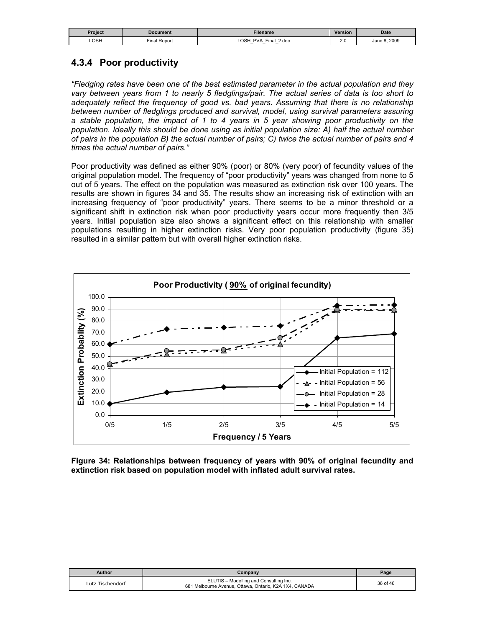| Project | Document     | Filename                                                                                          | Version  | <b>Date</b>  |
|---------|--------------|---------------------------------------------------------------------------------------------------|----------|--------------|
| LOSH    | Final Report | LOSH<br>Final<br><b>PVA</b><br>2.doc<br>$\overline{\phantom{0}}$<br>-<br>$\overline{\phantom{0}}$ | ົ<br>Z.V | June 8, 2009 |

# **4.3.4 Poor productivity**

*"Fledging rates have been one of the best estimated parameter in the actual population and they vary between years from 1 to nearly 5 fledglings/pair. The actual series of data is too short to adequately reflect the frequency of good vs. bad years. Assuming that there is no relationship between number of fledglings produced and survival, model, using survival parameters assuring a stable population, the impact of 1 to 4 years in 5 year showing poor productivity on the population. Ideally this should be done using as initial population size: A) half the actual number of pairs in the population B) the actual number of pairs; C) twice the actual number of pairs and 4 times the actual number of pairs."* 

Poor productivity was defined as either 90% (poor) or 80% (very poor) of fecundity values of the original population model. The frequency of "poor productivity" years was changed from none to 5 out of 5 years. The effect on the population was measured as extinction risk over 100 years. The results are shown in figures 34 and 35. The results show an increasing risk of extinction with an increasing frequency of "poor productivity" years. There seems to be a minor threshold or a significant shift in extinction risk when poor productivity years occur more frequently then 3/5 years. Initial population size also shows a significant effect on this relationship with smaller populations resulting in higher extinction risks. Very poor population productivity (figure 35) resulted in a similar pattern but with overall higher extinction risks.



**Figure 34: Relationships between frequency of years with 90% of original fecundity and extinction risk based on population model with inflated adult survival rates.** 

| Author           | Company                                                                                          | Page     |
|------------------|--------------------------------------------------------------------------------------------------|----------|
| Lutz Tischendorf | ELUTIS - Modelling and Consulting Inc.<br>681 Melbourne Avenue, Ottawa, Ontario, K2A 1X4, CANADA | 36 of 46 |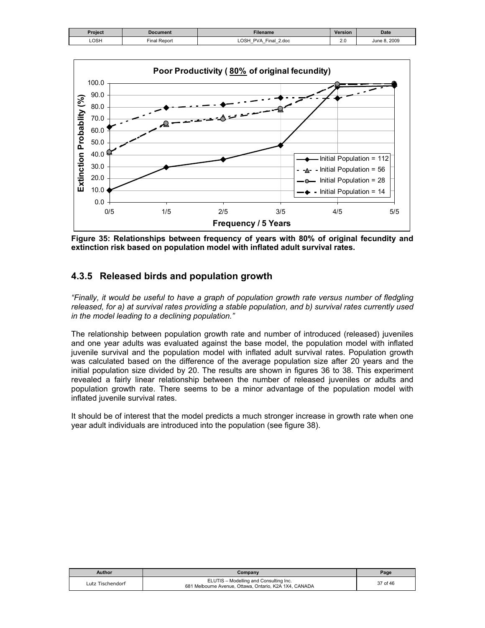| Project | <b>Document</b>     | <b>Filename</b>                                                                                    | <b>Version</b> | <b>Date</b>     |
|---------|---------------------|----------------------------------------------------------------------------------------------------|----------------|-----------------|
| LOSH    | <b>Final Report</b> | <b>OSH</b><br><b>PVA</b><br>Final<br>2.doc<br>$\overline{\phantom{0}}$<br>$\overline{\phantom{0}}$ | Z.V            | 2009<br>June 8. |



**Figure 35: Relationships between frequency of years with 80% of original fecundity and extinction risk based on population model with inflated adult survival rates.** 

### **4.3.5 Released birds and population growth**

*"Finally, it would be useful to have a graph of population growth rate versus number of fledgling released, for a) at survival rates providing a stable population, and b) survival rates currently used in the model leading to a declining population."*

The relationship between population growth rate and number of introduced (released) juveniles and one year adults was evaluated against the base model, the population model with inflated juvenile survival and the population model with inflated adult survival rates. Population growth was calculated based on the difference of the average population size after 20 years and the initial population size divided by 20. The results are shown in figures 36 to 38. This experiment revealed a fairly linear relationship between the number of released juveniles or adults and population growth rate. There seems to be a minor advantage of the population model with inflated juvenile survival rates.

It should be of interest that the model predicts a much stronger increase in growth rate when one year adult individuals are introduced into the population (see figure 38).

| Author           | Company                                                                                          | Page     |
|------------------|--------------------------------------------------------------------------------------------------|----------|
| Lutz Tischendorf | ELUTIS - Modelling and Consulting Inc.<br>681 Melbourne Avenue, Ottawa, Ontario, K2A 1X4, CANADA | 37 of 46 |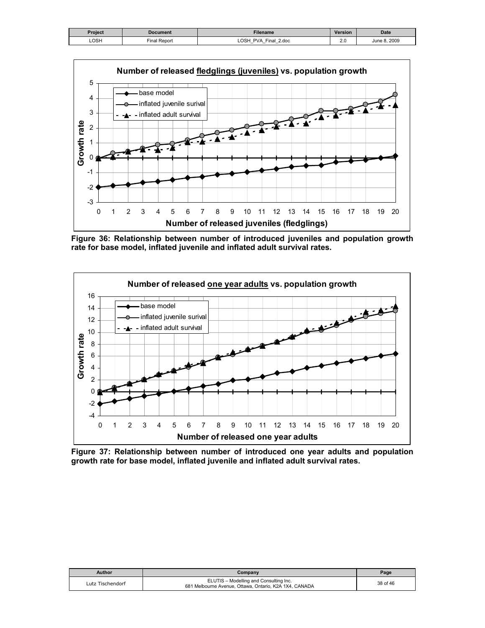| Project | Document    | Filename                                                                           | <b>Version</b> | <b>Date</b>  |
|---------|-------------|------------------------------------------------------------------------------------|----------------|--------------|
| LOSH    | inal Report | ∟OSP<br>Final 2.doc<br>PVA<br>$\overline{\phantom{0}}$<br>$\overline{\phantom{0}}$ | 2.0            | June 8, 2009 |



**Figure 36: Relationship between number of introduced juveniles and population growth rate for base model, inflated juvenile and inflated adult survival rates.** 



**Figure 37: Relationship between number of introduced one year adults and population growth rate for base model, inflated juvenile and inflated adult survival rates.** 

| Author           | Company                                                                                          | Page     |
|------------------|--------------------------------------------------------------------------------------------------|----------|
| Lutz Tischendorf | ELUTIS - Modelling and Consulting Inc.<br>681 Melbourne Avenue, Ottawa, Ontario, K2A 1X4, CANADA | 38 of 46 |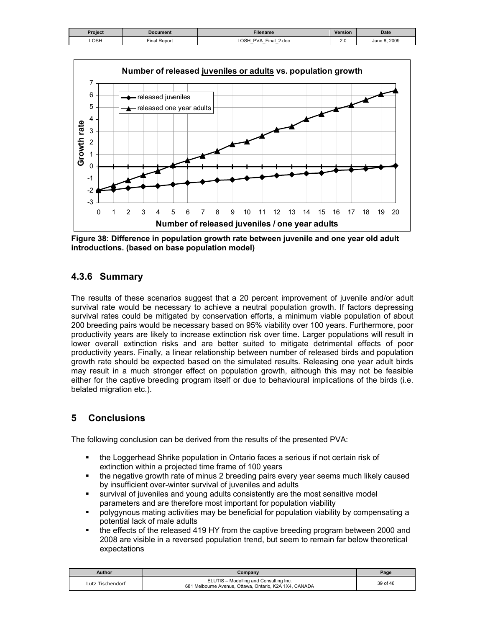| Project | <b>Document</b> | Filename                                                                                                              | Version  | <b>Date</b>  |
|---------|-----------------|-----------------------------------------------------------------------------------------------------------------------|----------|--------------|
| LOSH    | Final Report    | ∟OSH<br><b>PVA</b><br>Final 2.doc<br>$\overline{\phantom{0}}$<br>$\overline{\phantom{0}}$<br>$\overline{\phantom{0}}$ | ົ<br>2.U | June 8, 2009 |



**Figure 38: Difference in population growth rate between juvenile and one year old adult introductions. (based on base population model)** 

# **4.3.6 Summary**

The results of these scenarios suggest that a 20 percent improvement of juvenile and/or adult survival rate would be necessary to achieve a neutral population growth. If factors depressing survival rates could be mitigated by conservation efforts, a minimum viable population of about 200 breeding pairs would be necessary based on 95% viability over 100 years. Furthermore, poor productivity years are likely to increase extinction risk over time. Larger populations will result in lower overall extinction risks and are better suited to mitigate detrimental effects of poor productivity years. Finally, a linear relationship between number of released birds and population growth rate should be expected based on the simulated results. Releasing one year adult birds may result in a much stronger effect on population growth, although this may not be feasible either for the captive breeding program itself or due to behavioural implications of the birds (i.e. belated migration etc.).

# **5 Conclusions**

The following conclusion can be derived from the results of the presented PVA:

- the Loggerhead Shrike population in Ontario faces a serious if not certain risk of extinction within a projected time frame of 100 years
- the negative growth rate of minus 2 breeding pairs every year seems much likely caused by insufficient over-winter survival of juveniles and adults
- survival of juveniles and young adults consistently are the most sensitive model parameters and are therefore most important for population viability
- polygynous mating activities may be beneficial for population viability by compensating a potential lack of male adults
- the effects of the released 419 HY from the captive breeding program between 2000 and 2008 are visible in a reversed population trend, but seem to remain far below theoretical expectations

| <b>Author</b>    | Company                                                                                          | Page     |
|------------------|--------------------------------------------------------------------------------------------------|----------|
| Lutz Tischendorf | ELUTIS - Modelling and Consulting Inc.<br>681 Melbourne Avenue, Ottawa, Ontario, K2A 1X4, CANADA | 39 of 46 |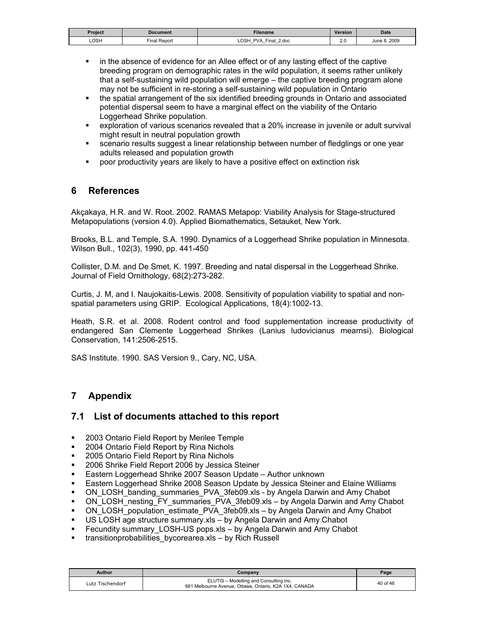| Project | Document                    | <b>Filename</b>                                                      | <b>Version</b> | <b>Date</b>      |
|---------|-----------------------------|----------------------------------------------------------------------|----------------|------------------|
| LOSH    | $\sim$<br>' Report<br>Final | ∩SH<br>PVA<br>2.doc<br>Final<br>$\overline{\phantom{0}}$<br>-<br>$-$ | $\sim$<br>2.U  | 8.2009<br>June 8 |

- **EXECT** in the absence of evidence for an Allee effect or of any lasting effect of the captive breeding program on demographic rates in the wild population, it seems rather unlikely that a self-sustaining wild population will emerge – the captive breeding program alone may not be sufficient in re-storing a self-sustaining wild population in Ontario
- the spatial arrangement of the six identified breeding grounds in Ontario and associated potential dispersal seem to have a marginal effect on the viability of the Ontario Loggerhead Shrike population.
- exploration of various scenarios revealed that a 20% increase in juvenile or adult survival might result in neutral population growth
- **scenario results suggest a linear relationship between number of fledglings or one year** adults released and population growth
- poor productivity years are likely to have a positive effect on extinction risk

### **6 References**

Akçakaya, H.R. and W. Root. 2002. RAMAS Metapop: Viability Analysis for Stage-structured Metapopulations (version 4.0). Applied Biomathematics, Setauket, New York.

Brooks, B.L. and Temple, S.A. 1990. Dynamics of a Loggerhead Shrike population in Minnesota. Wilson Bull., 102(3), 1990, pp. 441-450

Collister, D.M. and De Smet, K. 1997. Breeding and natal dispersal in the Loggerhead Shrike. Journal of Field Ornithology, 68(2):273-282.

Curtis, J. M, and I. Naujokaitis-Lewis. 2008. Sensitivity of population viability to spatial and nonspatial parameters using GRIP. Ecological Applications, 18(4):1002-13.

Heath, S.R. et al. 2008. Rodent control and food supplementation increase productivity of endangered San Clemente Loggerhead Shrikes (Lanius ludovicianus mearnsi). Biological Conservation, 141:2506-2515.

SAS Institute. 1990. SAS Version 9., Cary, NC, USA.

# **7 Appendix**

### **7.1 List of documents attached to this report**

- 2003 Ontario Field Report by Merilee Temple
- **2004 Ontario Field Report by Rina Nichols**
- **2005 Ontario Field Report by Rina Nichols**
- 2006 Shrike Field Report 2006 by Jessica Steiner
- **Eastern Loggerhead Shrike 2007 Season Update Author unknown**
- Eastern Loggerhead Shrike 2008 Season Update by Jessica Steiner and Elaine Williams
- ON\_LOSH\_banding\_summaries\_PVA\_3feb09.xls by Angela Darwin and Amy Chabot
- ON\_LOSH\_nesting\_FY\_summaries\_PVA\_3feb09.xls by Angela Darwin and Amy Chabot
- ON\_LOSH\_population\_estimate\_PVA\_3feb09.xls by Angela Darwin and Amy Chabot
- US LOSH age structure summary.xls by Angela Darwin and Amy Chabot
- **Fecundity summary LOSH-US pops.xls by Angela Darwin and Amy Chabot**
- transitionprobabilities bycorearea.xls by Rich Russell

| Author           | Companv                                                                                          | Page     |
|------------------|--------------------------------------------------------------------------------------------------|----------|
| Lutz Tischendorf | ELUTIS - Modelling and Consulting Inc.<br>681 Melbourne Avenue, Ottawa, Ontario, K2A 1X4, CANADA | 40 of 46 |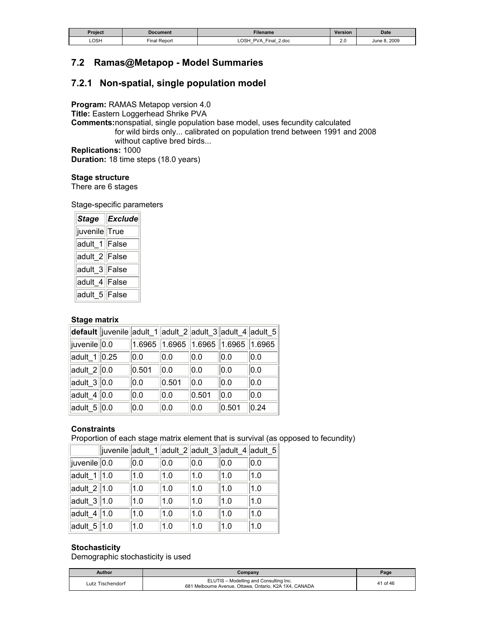| Project | Document     | Filename                                                                                            | <b>Version</b> | <b>Date</b>  |
|---------|--------------|-----------------------------------------------------------------------------------------------------|----------------|--------------|
| LOSH    | Final Report | LOSH<br>Final<br><b>PVA</b><br>2.doc<br>$\overline{\phantom{0}}$<br>$-$<br>$\overline{\phantom{0}}$ | $\sim$<br>Z.V  | June 8, 2009 |

# **7.2 Ramas@Metapop - Model Summaries**

### **7.2.1 Non-spatial, single population model**

**Program:** RAMAS Metapop version 4.0 **Title:** Eastern Loggerhead Shrike PVA **Comments:**nonspatial, single population base model, uses fecundity calculated for wild birds only... calibrated on population trend between 1991 and 2008 without captive bred birds... **Replications:** 1000 **Duration:** 18 time steps (18.0 years)

#### **Stage structure**

There are 6 stages

Stage-specific parameters

|                            | Stage Exclude |
|----------------------------|---------------|
| juvenile True              |               |
| adult_1 False              |               |
| adult_2 <sup> </sup> False |               |
| adult_3 <sup> </sup> False |               |
| adult_4 False              |               |
| adult_5 <sup> </sup> False |               |

#### **Stage matrix**

|                      | default  juvenile  adult_1  adult_2  adult_3  adult_4  adult_5 |       |       |                                              |       |      |
|----------------------|----------------------------------------------------------------|-------|-------|----------------------------------------------|-------|------|
| juvenile 0.0         |                                                                |       |       | $1.6965$   1.6965   1.6965   1.6965   1.6965 |       |      |
| $ $ adult_1 $ $ 0.25 |                                                                | 0.0   | 0.0   | 0.0                                          | 0.0   | 0.0  |
| $ $ adult_2 $ $ 0.0  |                                                                | 0.501 | 0.0   | 0.0                                          | 0.0   | 0.0  |
| adult_3 $\vert$ 0.0  |                                                                | 0.0   | 0.501 | 0.0                                          | 0.0   | 0.0  |
| adult_4 $\ 0.0$      |                                                                | 0.0   | 0.0   | 0.501                                        | 0.0   | 0.0  |
| adult_5 $\vert$ 0.0  |                                                                | 0.0   | 0.0   | 0.0                                          | 0.501 | 0.24 |

#### **Constraints**

Proportion of each stage matrix element that is survival (as opposed to fecundity)

|                             | juvenile adult_1 adult_2 adult_3 adult_4 adult_5 |     |     |     |     |     |
|-----------------------------|--------------------------------------------------|-----|-----|-----|-----|-----|
| juvenile 0.0                |                                                  | 0.0 | 0.0 | 0.0 | 0.0 | 0.0 |
| adult_1 $  1.0$             |                                                  | 1.0 | 1.0 | 1.0 | 1.0 | 1.0 |
| adult_2 $  1.0$             |                                                  | 1.0 | 1.0 | 1.0 | 1.0 | 1.0 |
| $\vert$ adult_3 $\vert$ 1.0 |                                                  | 1.0 | 1.0 | 1.0 | 1.0 | 1.0 |
| adult_4 $  1.0$             |                                                  | 1.0 | 1.0 | 1.0 | 1.0 | 1.0 |
| $ $ adult_5 $  1.0$         |                                                  | 1.0 | 1.0 | 1.0 | 1.0 | 1.0 |

#### **Stochasticity**

Demographic stochasticity is used

| Author           | Companv                                                                                          | Page     |
|------------------|--------------------------------------------------------------------------------------------------|----------|
| Lutz Tischendorf | ELUTIS - Modelling and Consulting Inc.<br>681 Melbourne Avenue, Ottawa, Ontario, K2A 1X4, CANADA | 41 of 46 |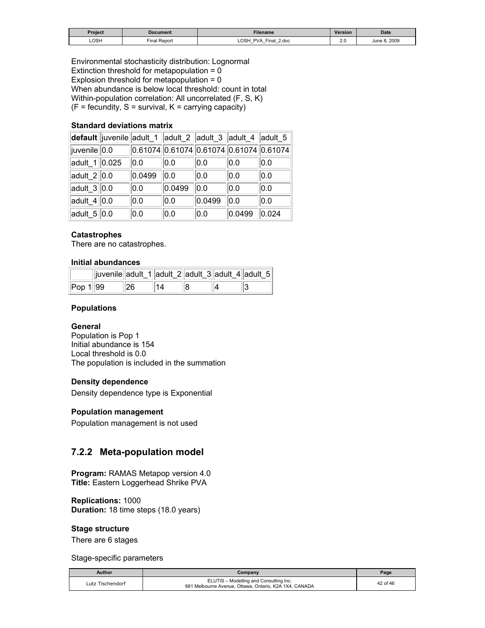| Project | Document     | Filename                                                                            | <b>Version</b> | <b>Date</b>  |
|---------|--------------|-------------------------------------------------------------------------------------|----------------|--------------|
| LOSH    | Final Report | <b>LOSH</b><br><b>PVA</b><br>Final<br>2.doc<br>$-$<br>-<br>$\overline{\phantom{0}}$ | $\sim$         | June 8, 2009 |

Environmental stochasticity distribution: Lognormal Extinction threshold for metapopulation =  $0$ Explosion threshold for metapopulation = 0 When abundance is below local threshold: count in total Within-population correlation: All uncorrelated (F, S, K)  $(F = fecundity, S = survival, K = carrying capacity)$ 

#### **Standard deviations matrix**

|                             |        | default  juvenile  adult_1  adult_2  adult_3  adult_4  adult_5 |        |        |       |
|-----------------------------|--------|----------------------------------------------------------------|--------|--------|-------|
| juvenile  0.0               |        | $0.61074$ 0.61074 0.61074 0.61074 0.61074                      |        |        |       |
| adult 1 0.025               | 0.0    | 0.0                                                            | 0.0    | 0.0    | 0.0   |
| $ $ adult_2 $ $ 0.0         | 0.0499 | 0.0                                                            | 0.0    | 0.0    | 0.0   |
| $\vert$ adult_3 $\vert$ 0.0 | 0.0    | 0.0499                                                         | 0.0    | 0.0    | 0.0   |
| $ $ adult_4 $ $ 0.0         | 0.0    | 0.0                                                            | 0.0499 | 0.0    | 0.0   |
| adult $5\vert 0.0$          | 0.0    | 0.0                                                            | 0.0    | 0.0499 | 0.024 |

#### **Catastrophes**

There are no catastrophes.

#### **Initial abundances**

|                    | juvenile  adult_1  adult_2  adult_3  adult_4  adult_5 |    |    |  |  |
|--------------------|-------------------------------------------------------|----|----|--|--|
| $\ $ Pop 1 $\ $ 99 |                                                       | 26 | 14 |  |  |

#### **Populations**

#### **General**

Population is Pop 1 Initial abundance is 154 Local threshold is 0.0 The population is included in the summation

#### **Density dependence**

Density dependence type is Exponential

#### **Population management**

Population management is not used

#### **7.2.2 Meta-population model**

**Program:** RAMAS Metapop version 4.0 **Title:** Eastern Loggerhead Shrike PVA

**Replications:** 1000 **Duration:** 18 time steps (18.0 years)

#### **Stage structure**

There are 6 stages

Stage-specific parameters

| Author           | Company                                                                                          |          |
|------------------|--------------------------------------------------------------------------------------------------|----------|
| Lutz Tischendorf | ELUTIS - Modelling and Consulting Inc.<br>681 Melbourne Avenue, Ottawa, Ontario, K2A 1X4, CANADA | 42 of 46 |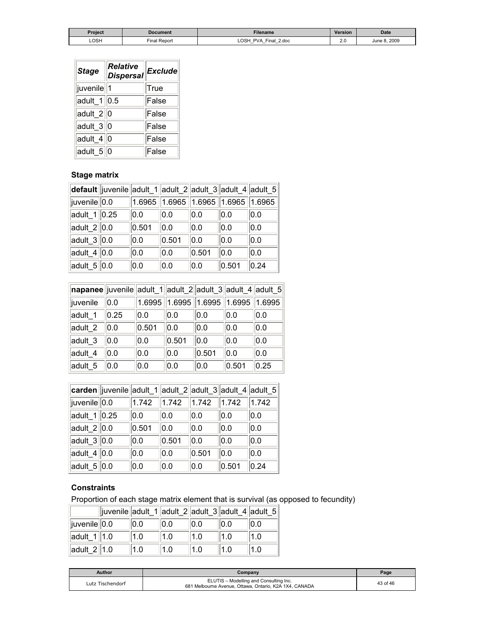| Project | Document     | Filename                                                                                                                         | Version | <b>Date</b>    |
|---------|--------------|----------------------------------------------------------------------------------------------------------------------------------|---------|----------------|
| LOSH    | Final Report | <b>LOSH</b><br><b>PVA</b><br>2.doc<br>Final.<br>$\overline{\phantom{0}}$<br>$\overline{\phantom{0}}$<br>$\overline{\phantom{0}}$ | L.V     | 2009<br>une ۶ـ |

| <b>Stage</b>              | <b>Relative</b><br><b>Dispersal</b> | Exclude     |
|---------------------------|-------------------------------------|-------------|
| juvenile  1               |                                     | <b>True</b> |
| $ $ adult_1 $  0.5$       |                                     | False       |
| $ $ adult_2 $ $ 0         |                                     | False       |
| $\vert$ adult_3 $\vert$ 0 |                                     | False       |
| $ $ adult_4 $  0$         |                                     | False       |
| $ $ adult_5 $ $ 0         |                                     | False       |

# **Stage matrix**

|                 | default   juvenile  adult_1  adult_2  adult_3  adult_4  adult_5 |       |       |                                                      |       |      |
|-----------------|-----------------------------------------------------------------|-------|-------|------------------------------------------------------|-------|------|
| juvenile 0.0    |                                                                 |       |       | $1.6965$   $1.6965$   $1.6965$   $1.6965$   $1.6965$ |       |      |
| adult $1$ 0.25  |                                                                 | 0.0   | 0.0   | 0.0                                                  | 0.0   | 0.0  |
| adult $2  0.0$  |                                                                 | 0.501 | 0.0   | 0.0                                                  | 0.0   | 0.0  |
| adult $3 0.0$   |                                                                 | 0.0   | 0.501 | 0.0                                                  | 0.0   | 0.0  |
| adult_4 $\ 0.0$ |                                                                 | 0.0   | 0.0   | 0.501                                                | 0.0   | 0.0  |
| adult $5 0.0$   |                                                                 | 0.0   | 0.0   | 0.0                                                  | 0.501 | 0.24 |

| napanee juvenile adult_1 adult_2 adult_3 adult_4 adult_5 |      |       |                                  |       |        |        |
|----------------------------------------------------------|------|-------|----------------------------------|-------|--------|--------|
| juvenile                                                 | 0.0  |       | $ 1.6995\,  1.6995\,  1.6995\, $ |       | 1.6995 | 1.6995 |
| adult 1                                                  | 0.25 | 0.0   | 0.0                              | 0.0   | 0.0    | 0.0    |
| adult 2                                                  | 0.0  | 0.501 | 0.0                              | 0.0   | 0.0    | 0.0    |
| adult 3                                                  | 0.0  | 0.0   | 0.501                            | 0.0   | 0.0    | 0.0    |
| adult 4                                                  | 0.0  | 0.0   | 0.0                              | 0.501 | 0.0    | 0.0    |
| adult 5                                                  | 0.0  | 0.0   | 0.0                              | 0.0   | 0.501  | 0.25   |

|                         | carden   juvenile   adult_1   adult_2   adult_3   adult_4   adult_5 |       |       |       |       |       |
|-------------------------|---------------------------------------------------------------------|-------|-------|-------|-------|-------|
| juvenile  0.0           |                                                                     | 1.742 | 1.742 | 1.742 | 1.742 | 1.742 |
| $adult_1  0.25$         |                                                                     | 0.0   | 0.0   | 0.0   | 0.0   | 0.0   |
| adult_2 $\ 0.0$         |                                                                     | 0.501 | 0.0   | 0.0   | 0.0   | 0.0   |
| adult_3 $\parallel$ 0.0 |                                                                     | 0.0   | 0.501 | 0.0   | 0.0   | 0.0   |
| adult $4 0.0$           |                                                                     | 0.0   | 0.0   | 0.501 | 0.0   | 0.0   |
| adult_5 $\vert$ 0.0     |                                                                     | 0.0   | 0.0   | 0.0   | 0.501 | 0.24  |

### **Constraints**

Proportion of each stage matrix element that is survival (as opposed to fecundity)

|                 | juvenile adult_1 adult_2 adult_3 adult_4 adult_5 |     |     |      |      |     |
|-----------------|--------------------------------------------------|-----|-----|------|------|-----|
| juvenile  0.0   |                                                  | 0.0 | 0.0 | 10.0 | 10.0 | 0.0 |
| adult $1$   1.0 |                                                  |     |     | 1.0  |      | 1.0 |
| adult $2$ 1.0   |                                                  |     |     |      |      |     |

| Author           | Company                                                                                          | Page     |
|------------------|--------------------------------------------------------------------------------------------------|----------|
| Lutz Tischendorf | ELUTIS - Modelling and Consulting Inc.<br>681 Melbourne Avenue, Ottawa, Ontario, K2A 1X4, CANADA | 43 of 46 |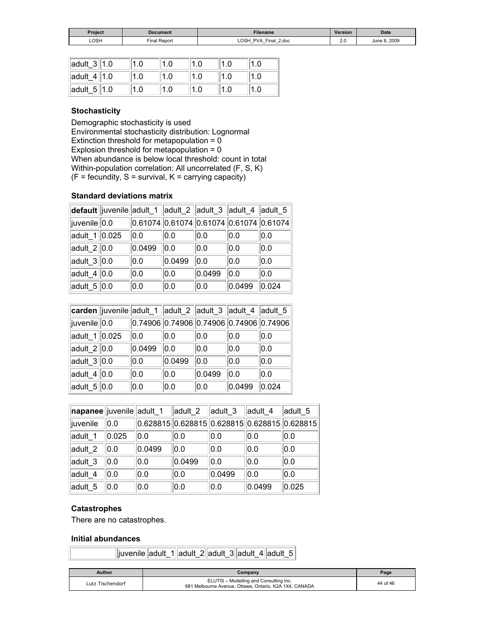| <b>Project</b> | <b>Document</b> | <b>Filename</b>                                                              | <b>Version</b> | <b>Date</b>       |
|----------------|-----------------|------------------------------------------------------------------------------|----------------|-------------------|
| LOSH           | Final Report    | LOSH<br><b>PVA</b><br>2.doc<br>Final<br>–<br>$-$<br>$\overline{\phantom{0}}$ | 2.J<br>__      | 8,2009<br>June 8. |

| $\ $ adult_3 $\ $ 1.0 |  |  |  |
|-----------------------|--|--|--|
| $\ $ adult 4 $\ $ 1.0 |  |  |  |
| $\ $ adult_5 $\ $ 1.0 |  |  |  |

#### **Stochasticity**

Demographic stochasticity is used Environmental stochasticity distribution: Lognormal Extinction threshold for metapopulation = 0 Explosion threshold for metapopulation =  $0$ When abundance is below local threshold: count in total Within-population correlation: All uncorrelated (F, S, K)  $(F = fecundity, S = survival, K = carrying capacity)$ 

#### **Standard deviations matrix**

|                         |        |        |        |        | default  juvenile  adult_1   adult_2   adult_3   adult_4   adult_5 |
|-------------------------|--------|--------|--------|--------|--------------------------------------------------------------------|
| juvenile 0.0            |        |        |        |        | $0.61074$ 0.61074 0.61074 0.61074 0.61074                          |
| adult_1 0.025           | 0.0    | 0.0    | 0.0    | 0.0    | 0.0                                                                |
| adult $2  0.0$          | 0.0499 | 0.0    | 0.0    | 0.0    | 0.0                                                                |
| adult_3 $\parallel$ 0.0 | 0.0    | 0.0499 | 0.0    | 0.0    | 0.0                                                                |
| adult_4 $\ 0.0$         | 0.0    | 0.0    | 0.0499 | 0.0    | 0.0                                                                |
| adult_5 $\vert$ 0.0     | 0.0    | 0.0    | 0.0    | 0.0499 | 0.024                                                              |

|                 |        |        | carden juvenile adult_1  adult_2  adult_3  adult_4  adult_5 |        |       |
|-----------------|--------|--------|-------------------------------------------------------------|--------|-------|
| juvenile 0.0    |        |        | $0.74906$ $0.74906$ $0.74906$ $0.74906$ $0.74906$           |        |       |
| adult_1 0.025   | 0.0    | 0.0    | 0.0                                                         | 0.0    | 0.0   |
| adult $2  0.0$  | 0.0499 | 0.0    | 0.0                                                         | 0.0    | 0.0   |
| adult_3 $\ 0.0$ | 0.0    | 0.0499 | $ _{0.0}$                                                   | 0.0    | 0.0   |
| adult $4 0.0$   | 0.0    | 0.0    | 0.0499                                                      | 0.0    | 0.0   |
| adult_5 $\ 0.0$ | 0.0    | 0.0    | 0.0                                                         | 0.0499 | 0.024 |

| napanee juvenile adult_1 |       |                                                  | ∣adult_2 | adult 3 | adult 4 | adult 5 |
|--------------------------|-------|--------------------------------------------------|----------|---------|---------|---------|
| juvenile                 | 0.0   | $ 0.628815 0.628815 0.628815 0.628815 0.628815 $ |          |         |         |         |
| adult 1                  | 0.025 | 0.0                                              | 0.0      | 0.0     | 0.0     | 0.0     |
| adult 2                  | 0.0   | 0.0499                                           | 0.0      | 0.0     | 0.0     | 0.0     |
| adult_3                  | 0.0   | 0.0                                              | 0.0499   | 0.0     | 0.0     | 0.0     |
| adult 4                  | 0.0   | 0.0                                              | 0.0      | 0.0499  | 0.0     | 0.0     |
| adult 5                  | 0.0   | 0.0                                              | 0.0      | 0.0     | 0.0499  | 0.025   |

#### **Catastrophes**

There are no catastrophes.

#### **Initial abundances**

juvenile adult\_1 adult\_2 adult\_3 adult\_4 adult\_5

| Author           | Company                                                                                          | Page     |
|------------------|--------------------------------------------------------------------------------------------------|----------|
| Lutz Tischendorf | ELUTIS - Modelling and Consulting Inc.<br>681 Melbourne Avenue, Ottawa, Ontario, K2A 1X4, CANADA | 44 of 46 |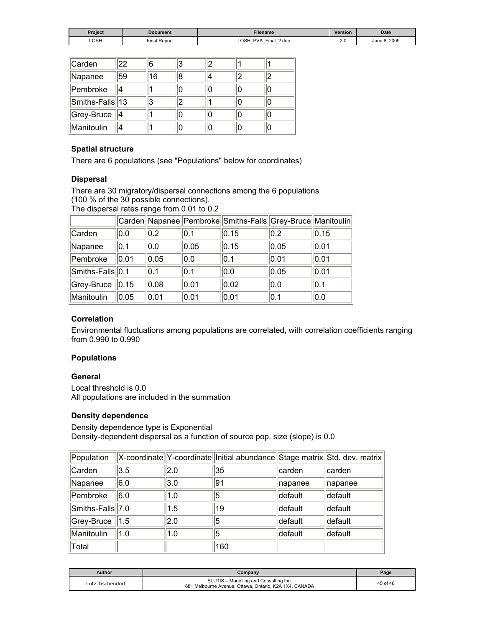| Project | Document       | <b>Filename</b>                                                                                    | <b>Version</b> | <b>Date</b>      |
|---------|----------------|----------------------------------------------------------------------------------------------------|----------------|------------------|
| LOSH    | Repor<br>Final | OSH<br><b>PVA</b><br>Final<br>2.doc<br>$-$<br>$\overline{\phantom{0}}$<br>$\overline{\phantom{0}}$ | 2.J            | 8.2009<br>June 8 |

| Carden          | 22 | 6  |   |  |  |
|-----------------|----|----|---|--|--|
| Napanee         | 59 | 16 | 8 |  |  |
| Pembroke        |    |    |   |  |  |
| Smiths-Falls 13 |    |    |   |  |  |
| Grey-Bruce   4  |    |    |   |  |  |
| Manitoulin      |    |    |   |  |  |

#### **Spatial structure**

There are 6 populations (see "Populations" below for coordinates)

#### **Dispersal**

There are 30 migratory/dispersal connections among the 6 populations (100 % of the 30 possible connections).

The dispersal rates range from 0.01 to 0.2

|                  |      |      |      | Carden  Napanee  Pembroke  Smiths-Falls  Grey-Bruce  Manitoulin |      |      |
|------------------|------|------|------|-----------------------------------------------------------------|------|------|
| Carden           | 0.0  | 0.2  | 0.1  | 0.15                                                            | 0.2  | 0.15 |
| Napanee          | 0.1  | 0.0  | 0.05 | 0.15                                                            | 0.05 | 0.01 |
| Pembroke         | 0.01 | 0.05 | 0.0  | 0.1                                                             | 0.01 | 0.01 |
| Smiths-Falls 0.1 |      | 0.1  | 0.1  | 0.0                                                             | 0.05 | 0.01 |
| Grey-Bruce       | 0.15 | 0.08 | 0.01 | 0.02                                                            | 0.0  | 0.1  |
| Manitoulin       | 0.05 | 0.01 | 0.01 | 0.01                                                            | 0.1  | 0.0  |

#### **Correlation**

Environmental fluctuations among populations are correlated, with correlation coefficients ranging from 0.990 to 0.990

#### **Populations**

#### **General**

Local threshold is 0.0 All populations are included in the summation

#### **Density dependence**

Density dependence type is Exponential Density-dependent dispersal as a function of source pop. size (slope) is 0.0

| Population                  |     |     | X-coordinate Y-coordinate Initial abundance Stage matrix Std. dev. matrix |         |         |
|-----------------------------|-----|-----|---------------------------------------------------------------------------|---------|---------|
| Carden                      | 3.5 | 2.0 | 35                                                                        | carden  | carden  |
| Napanee                     | 6.0 | 3.0 | 191                                                                       | napanee | napanee |
| Pembroke                    | 6.0 | 1.0 | 15                                                                        | default | default |
| Smiths-Falls <sup>7.0</sup> |     | 1.5 | 19                                                                        | default | default |
| Grey-Bruce   1.5            |     | 2.0 | 15                                                                        | default | default |
| Manitoulin                  | 1.0 | 1.0 | 5                                                                         | default | default |
| Total                       |     |     | 160                                                                       |         |         |

| Author           | Companv                                                                                          | Page     |
|------------------|--------------------------------------------------------------------------------------------------|----------|
| Lutz Tischendorf | ELUTIS - Modelling and Consulting Inc.<br>681 Melbourne Avenue, Ottawa, Ontario, K2A 1X4, CANADA | 45 of 46 |